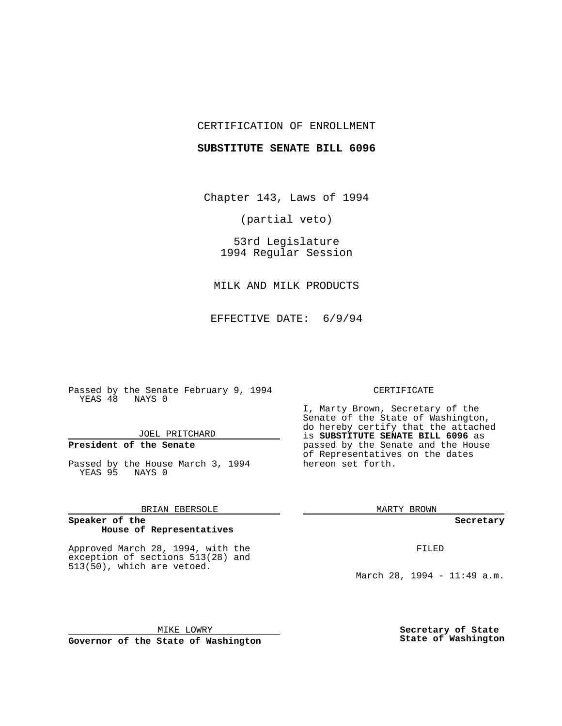## CERTIFICATION OF ENROLLMENT

### **SUBSTITUTE SENATE BILL 6096**

Chapter 143, Laws of 1994

(partial veto)

53rd Legislature 1994 Regular Session

MILK AND MILK PRODUCTS

EFFECTIVE DATE: 6/9/94

Passed by the Senate February 9, 1994 YEAS 48 NAYS 0

## JOEL PRITCHARD

## **President of the Senate**

Passed by the House March 3, 1994 YEAS 95 NAYS 0

### BRIAN EBERSOLE

### **Speaker of the House of Representatives**

Approved March 28, 1994, with the exception of sections 513(28) and 513(50), which are vetoed.

### CERTIFICATE

I, Marty Brown, Secretary of the Senate of the State of Washington, do hereby certify that the attached is **SUBSTITUTE SENATE BILL 6096** as passed by the Senate and the House of Representatives on the dates hereon set forth.

MARTY BROWN

**Secretary**

FILED

March 28, 1994 - 11:49 a.m.

MIKE LOWRY **Governor of the State of Washington** **Secretary of State State of Washington**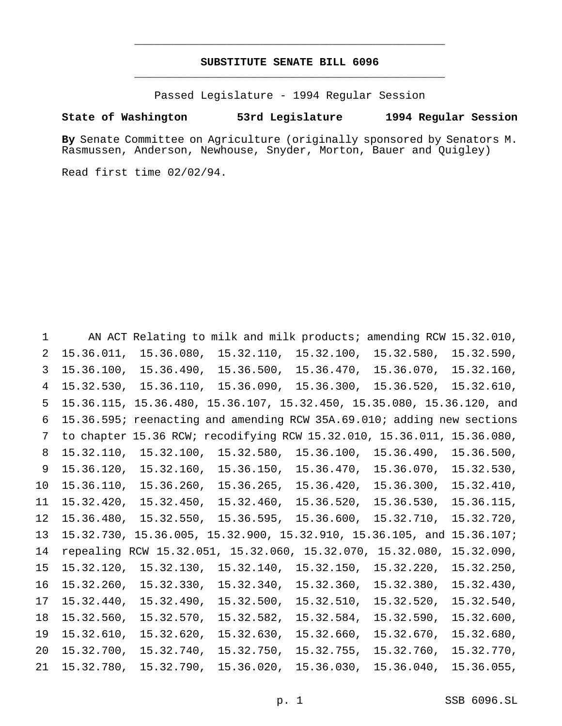## **SUBSTITUTE SENATE BILL 6096** \_\_\_\_\_\_\_\_\_\_\_\_\_\_\_\_\_\_\_\_\_\_\_\_\_\_\_\_\_\_\_\_\_\_\_\_\_\_\_\_\_\_\_\_\_\_\_

\_\_\_\_\_\_\_\_\_\_\_\_\_\_\_\_\_\_\_\_\_\_\_\_\_\_\_\_\_\_\_\_\_\_\_\_\_\_\_\_\_\_\_\_\_\_\_

Passed Legislature - 1994 Regular Session

### **State of Washington 53rd Legislature 1994 Regular Session**

**By** Senate Committee on Agriculture (originally sponsored by Senators M. Rasmussen, Anderson, Newhouse, Snyder, Morton, Bauer and Quigley)

Read first time 02/02/94.

 AN ACT Relating to milk and milk products; amending RCW 15.32.010, 15.36.011, 15.36.080, 15.32.110, 15.32.100, 15.32.580, 15.32.590, 15.36.100, 15.36.490, 15.36.500, 15.36.470, 15.36.070, 15.32.160, 15.32.530, 15.36.110, 15.36.090, 15.36.300, 15.36.520, 15.32.610, 15.36.115, 15.36.480, 15.36.107, 15.32.450, 15.35.080, 15.36.120, and 15.36.595; reenacting and amending RCW 35A.69.010; adding new sections to chapter 15.36 RCW; recodifying RCW 15.32.010, 15.36.011, 15.36.080, 15.32.110, 15.32.100, 15.32.580, 15.36.100, 15.36.490, 15.36.500, 15.36.120, 15.32.160, 15.36.150, 15.36.470, 15.36.070, 15.32.530, 15.36.110, 15.36.260, 15.36.265, 15.36.420, 15.36.300, 15.32.410, 15.32.420, 15.32.450, 15.32.460, 15.36.520, 15.36.530, 15.36.115, 15.36.480, 15.32.550, 15.36.595, 15.36.600, 15.32.710, 15.32.720, 15.32.730, 15.36.005, 15.32.900, 15.32.910, 15.36.105, and 15.36.107; repealing RCW 15.32.051, 15.32.060, 15.32.070, 15.32.080, 15.32.090, 15.32.120, 15.32.130, 15.32.140, 15.32.150, 15.32.220, 15.32.250, 15.32.260, 15.32.330, 15.32.340, 15.32.360, 15.32.380, 15.32.430, 15.32.440, 15.32.490, 15.32.500, 15.32.510, 15.32.520, 15.32.540, 15.32.560, 15.32.570, 15.32.582, 15.32.584, 15.32.590, 15.32.600, 15.32.610, 15.32.620, 15.32.630, 15.32.660, 15.32.670, 15.32.680, 15.32.700, 15.32.740, 15.32.750, 15.32.755, 15.32.760, 15.32.770, 15.32.780, 15.32.790, 15.36.020, 15.36.030, 15.36.040, 15.36.055,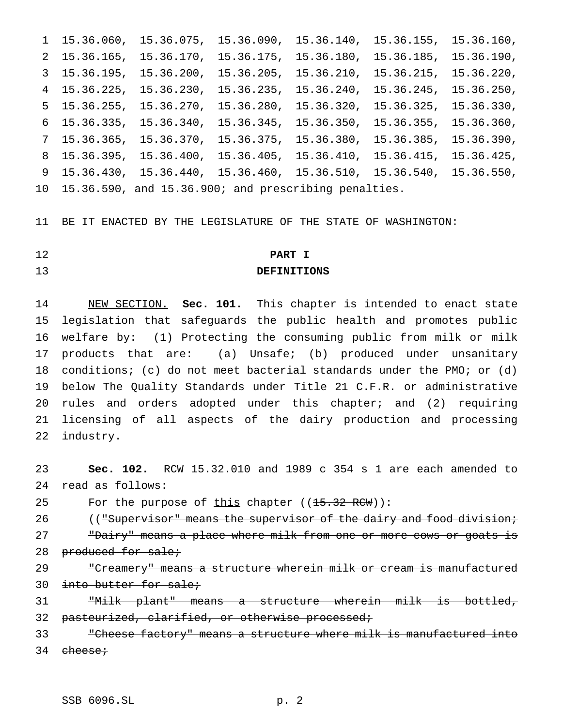15.36.060, 15.36.075, 15.36.090, 15.36.140, 15.36.155, 15.36.160, 15.36.165, 15.36.170, 15.36.175, 15.36.180, 15.36.185, 15.36.190, 15.36.195, 15.36.200, 15.36.205, 15.36.210, 15.36.215, 15.36.220, 15.36.225, 15.36.230, 15.36.235, 15.36.240, 15.36.245, 15.36.250, 15.36.255, 15.36.270, 15.36.280, 15.36.320, 15.36.325, 15.36.330, 15.36.335, 15.36.340, 15.36.345, 15.36.350, 15.36.355, 15.36.360, 15.36.365, 15.36.370, 15.36.375, 15.36.380, 15.36.385, 15.36.390, 15.36.395, 15.36.400, 15.36.405, 15.36.410, 15.36.415, 15.36.425, 15.36.430, 15.36.440, 15.36.460, 15.36.510, 15.36.540, 15.36.550, 15.36.590, and 15.36.900; and prescribing penalties.

BE IT ENACTED BY THE LEGISLATURE OF THE STATE OF WASHINGTON:

## **PART I DEFINITIONS**

 NEW SECTION. **Sec. 101.** This chapter is intended to enact state legislation that safeguards the public health and promotes public welfare by: (1) Protecting the consuming public from milk or milk products that are: (a) Unsafe; (b) produced under unsanitary conditions; (c) do not meet bacterial standards under the PMO; or (d) below The Quality Standards under Title 21 C.F.R. or administrative rules and orders adopted under this chapter; and (2) requiring licensing of all aspects of the dairy production and processing industry.

 **Sec. 102.** RCW 15.32.010 and 1989 c 354 s 1 are each amended to read as follows:

25 For the purpose of  $\underline{this}$  chapter  $((15.32 \text{ RCW}))$ :

26 (("Supervisor" means the supervisor of the dairy and food division;

27 "Dairy" means a place where milk from one or more cows or goats is 28 produced for sale;

 "Creamery" means a structure wherein milk or cream is manufactured 30 into butter for sale;

 "Milk plant" means a structure wherein milk is bottled, 32 pasteurized, clarified, or otherwise processed;

 "Cheese factory" means a structure where milk is manufactured into 34 cheese;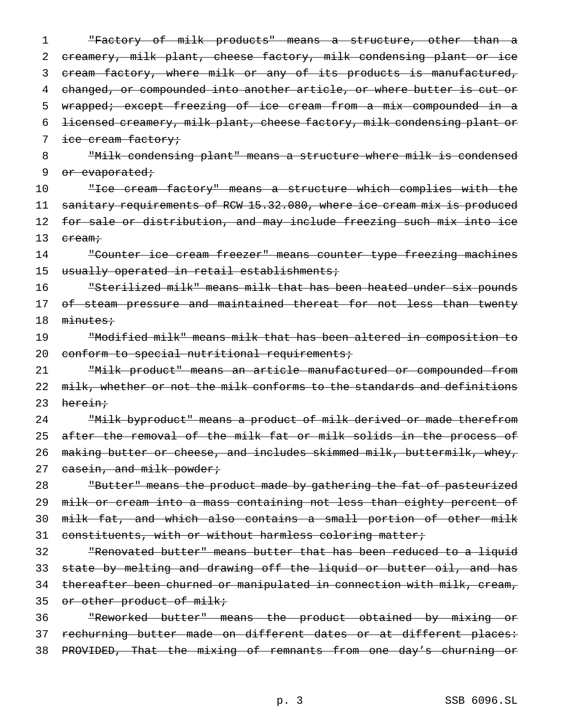1 "Factory of milk products" means a structure, other than a 2 creamery, milk plant, cheese factory, milk condensing plant or ice 3 cream factory, where milk or any of its products is manufactured, 4 changed, or compounded into another article, or where butter is cut or 5 wrapped; except freezing of ice cream from a mix compounded in a 6 licensed creamery, milk plant, cheese factory, milk condensing plant or 7 ice cream factory; 8 "Milk condensing plant" means a structure where milk is condensed 9 or evaporated; 10 "Ice cream factory" means a structure which complies with the 11 sanitary requirements of RCW 15.32.080, where ice cream mix is produced 12 for sale or distribution, and may include freezing such mix into ice 13 cream; 14 "Counter ice cream freezer" means counter type freezing machines 15 usually operated in retail establishments; 16 "Sterilized milk" means milk that has been heated under six pounds 17 o<del>f steam pressure and maintained thereat for not less than twenty</del> 18 minutes; 19 "Modified milk" means milk that has been altered in composition to 20 conform to special nutritional requirements; 21 "Milk product" means an article manufactured or compounded from 22 milk, whether or not the milk conforms to the standards and definitions 23 herein; 24 "Milk byproduct" means a product of milk derived or made therefrom 25 after the removal of the milk fat or milk solids in the process of 26 making butter or cheese, and includes skimmed milk, buttermilk, whey, 27 casein, and milk powder; 28 The Butter" means the product made by gathering the fat of pasteurized 29 milk or cream into a mass containing not less than eighty percent of 30 milk fat, and which also contains a small portion of other milk 31 constituents, with or without harmless coloring matter; 32 "Renovated butter" means butter that has been reduced to a liquid 33 state by melting and drawing off the liquid or butter oil, and has 34 thereafter been churned or manipulated in connection with milk, cream, 35 or other product of milk; 36 "Reworked butter" means the product obtained by mixing or

37 rechurning butter made on different dates or at different places: 38 PROVIDED, That the mixing of remnants from one day's churning or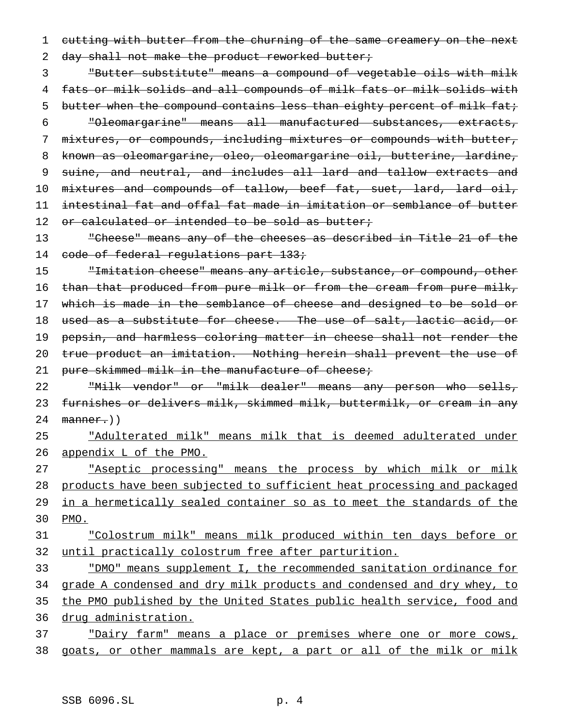1 cutting with butter from the churning of the same creamery on the next 2 day shall not make the product reworked butter;

 "Butter substitute" means a compound of vegetable oils with milk fats or milk solids and all compounds of milk fats or milk solids with 5 butter when the compound contains less than eighty percent of milk fat; "Oleomargarine" means all manufactured substances, extracts, mixtures, or compounds, including mixtures or compounds with butter, known as oleomargarine, oleo, oleomargarine oil, butterine, lardine, suine, and neutral, and includes all lard and tallow extracts and 10 mixtures and compounds of tallow, beef fat, suet, lard, lard oil, intestinal fat and offal fat made in imitation or semblance of butter 12 or calculated or intended to be sold as butter;

13 "Cheese" means any of the cheeses as described in Title 21 of the 14 code of federal regulations part 133;

15 Thitation cheese" means any article, substance, or compound, other 16 than that produced from pure milk or from the cream from pure milk, 17 which is made in the semblance of cheese and designed to be sold or 18 used as a substitute for cheese. The use of salt, lactic acid, or 19 pepsin, and harmless coloring matter in cheese shall not render the 20 true product an imitation. Nothing herein shall prevent the use of 21 pure skimmed milk in the manufacture of cheese;

22 "Milk vendor" or "milk dealer" means any person who sells, 23 furnishes or delivers milk, skimmed milk, buttermilk, or cream in any  $24$  manner.)

25 "Adulterated milk" means milk that is deemed adulterated under 26 appendix L of the PMO.

27 The assist processing" means the process by which milk or milk 28 products have been subjected to sufficient heat processing and packaged 29 in a hermetically sealed container so as to meet the standards of the 30 PMO.

31 "Colostrum milk" means milk produced within ten days before or 32 until practically colostrum free after parturition.

 "DMO" means supplement I, the recommended sanitation ordinance for 34 grade A condensed and dry milk products and condensed and dry whey, to the PMO published by the United States public health service, food and drug administration.

37 "Dairy farm" means a place or premises where one or more cows, 38 goats, or other mammals are kept, a part or all of the milk or milk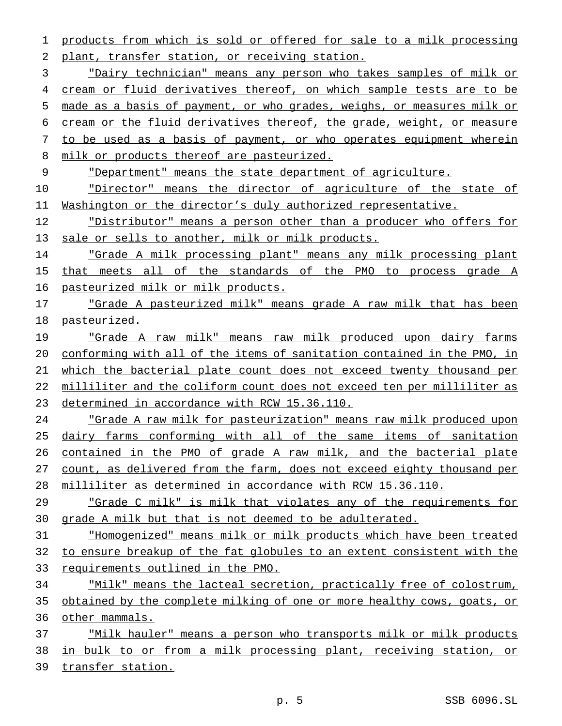products from which is sold or offered for sale to a milk processing plant, transfer station, or receiving station.

 "Dairy technician" means any person who takes samples of milk or cream or fluid derivatives thereof, on which sample tests are to be made as a basis of payment, or who grades, weighs, or measures milk or cream or the fluid derivatives thereof, the grade, weight, or measure to be used as a basis of payment, or who operates equipment wherein 8 milk or products thereof are pasteurized.

"Department" means the state department of agriculture.

**"Director"** means the director of agriculture of the state of Washington or the director's duly authorized representative.

12 Thistributor" means a person other than a producer who offers for 13 sale or sells to another, milk or milk products.

 "Grade A milk processing plant" means any milk processing plant 15 that meets all of the standards of the PMO to process grade A pasteurized milk or milk products.

 "Grade A pasteurized milk" means grade A raw milk that has been pasteurized.

 "Grade A raw milk" means raw milk produced upon dairy farms conforming with all of the items of sanitation contained in the PMO, in 21 which the bacterial plate count does not exceed twenty thousand per 22 milliliter and the coliform count does not exceed ten per milliliter as determined in accordance with RCW 15.36.110.

 "Grade A raw milk for pasteurization" means raw milk produced upon dairy farms conforming with all of the same items of sanitation contained in the PMO of grade A raw milk, and the bacterial plate count, as delivered from the farm, does not exceed eighty thousand per milliliter as determined in accordance with RCW 15.36.110.

 "Grade C milk" is milk that violates any of the requirements for grade A milk but that is not deemed to be adulterated.

 "Homogenized" means milk or milk products which have been treated to ensure breakup of the fat globules to an extent consistent with the 33 requirements outlined in the PMO.

34 "Milk" means the lacteal secretion, practically free of colostrum, obtained by the complete milking of one or more healthy cows, goats, or other mammals.

37 Thilk hauler" means a person who transports milk or milk products in bulk to or from a milk processing plant, receiving station, or transfer station.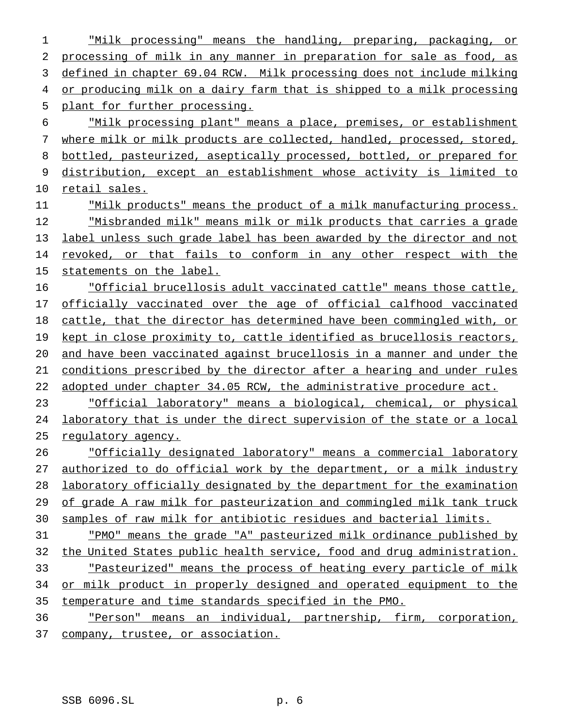"Milk processing" means the handling, preparing, packaging, or processing of milk in any manner in preparation for sale as food, as defined in chapter 69.04 RCW. Milk processing does not include milking 4 or producing milk on a dairy farm that is shipped to a milk processing plant for further processing. "Milk processing plant" means a place, premises, or establishment where milk or milk products are collected, handled, processed, stored, bottled, pasteurized, aseptically processed, bottled, or prepared for distribution, except an establishment whose activity is limited to retail sales. "Milk products" means the product of a milk manufacturing process. "Misbranded milk" means milk or milk products that carries a grade label unless such grade label has been awarded by the director and not revoked, or that fails to conform in any other respect with the 15 statements on the label. "Official brucellosis adult vaccinated cattle" means those cattle, officially vaccinated over the age of official calfhood vaccinated cattle, that the director has determined have been commingled with, or kept in close proximity to, cattle identified as brucellosis reactors, and have been vaccinated against brucellosis in a manner and under the conditions prescribed by the director after a hearing and under rules 22 adopted under chapter 34.05 RCW, the administrative procedure act. "Official laboratory" means a biological, chemical, or physical laboratory that is under the direct supervision of the state or a local regulatory agency. "Officially designated laboratory" means a commercial laboratory authorized to do official work by the department, or a milk industry laboratory officially designated by the department for the examination 29 of grade A raw milk for pasteurization and commingled milk tank truck samples of raw milk for antibiotic residues and bacterial limits. "PMO" means the grade "A" pasteurized milk ordinance published by 32 the United States public health service, food and drug administration. "Pasteurized" means the process of heating every particle of milk 34 or milk product in properly designed and operated equipment to the temperature and time standards specified in the PMO. "Person" means an individual, partnership, firm, corporation, 37 company, trustee, or association.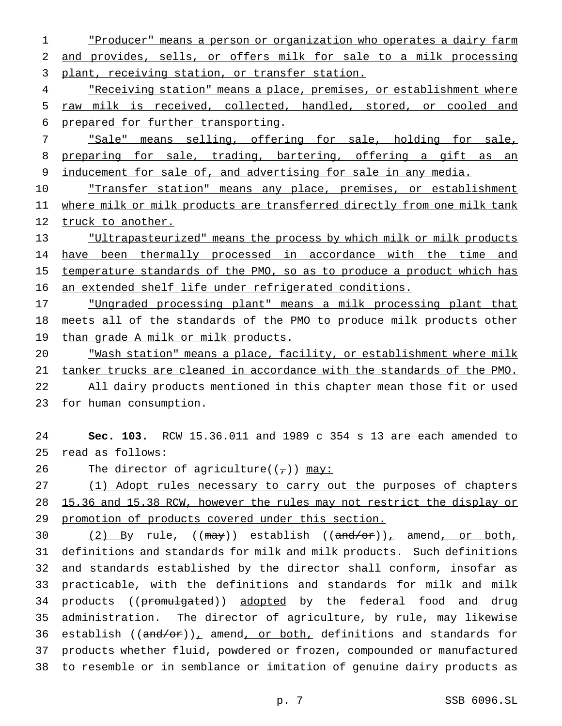"Producer" means a person or organization who operates a dairy farm and provides, sells, or offers milk for sale to a milk processing 3 plant, receiving station, or transfer station.

4 The receiving station" means a place, premises, or establishment where raw milk is received, collected, handled, stored, or cooled and prepared for further transporting.

 "Sale" means selling, offering for sale, holding for sale, 8 preparing for sale, trading, bartering, offering a gift as an inducement for sale of, and advertising for sale in any media.

10 Transfer station" means any place, premises, or establishment where milk or milk products are transferred directly from one milk tank 12 truck to another.

 "Ultrapasteurized" means the process by which milk or milk products 14 have been thermally processed in accordance with the time and 15 temperature standards of the PMO, so as to produce a product which has an extended shelf life under refrigerated conditions.

 "Ungraded processing plant" means a milk processing plant that meets all of the standards of the PMO to produce milk products other than grade A milk or milk products.

 "Wash station" means a place, facility, or establishment where milk tanker trucks are cleaned in accordance with the standards of the PMO. All dairy products mentioned in this chapter mean those fit or used

for human consumption.

 **Sec. 103.** RCW 15.36.011 and 1989 c 354 s 13 are each amended to read as follows:

26 The director of agriculture( $(\tau)$ ) may:

 (1) Adopt rules necessary to carry out the purposes of chapters 15.36 and 15.38 RCW, however the rules may not restrict the display or promotion of products covered under this section.

30 (2) By rule,  $((\text{may}) )$  establish  $((\text{and}/\text{or} ))_+$  amend, or both, definitions and standards for milk and milk products. Such definitions and standards established by the director shall conform, insofar as practicable, with the definitions and standards for milk and milk 34 products ((promulgated)) adopted by the federal food and drug administration. The director of agriculture, by rule, may likewise 36 establish  $((\text{and/or}))_{\perp}$  amend, or both, definitions and standards for products whether fluid, powdered or frozen, compounded or manufactured to resemble or in semblance or imitation of genuine dairy products as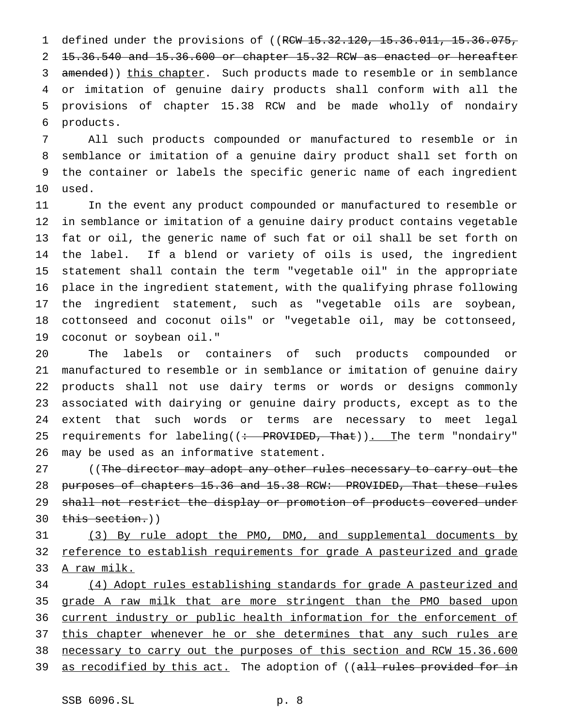1 defined under the provisions of ((RCW 15.32.120, 15.36.011, 15.36.075, 15.36.540 and 15.36.600 or chapter 15.32 RCW as enacted or hereafter 3 amended)) this chapter. Such products made to resemble or in semblance or imitation of genuine dairy products shall conform with all the provisions of chapter 15.38 RCW and be made wholly of nondairy products.

 All such products compounded or manufactured to resemble or in semblance or imitation of a genuine dairy product shall set forth on the container or labels the specific generic name of each ingredient used.

 In the event any product compounded or manufactured to resemble or in semblance or imitation of a genuine dairy product contains vegetable fat or oil, the generic name of such fat or oil shall be set forth on the label. If a blend or variety of oils is used, the ingredient statement shall contain the term "vegetable oil" in the appropriate place in the ingredient statement, with the qualifying phrase following the ingredient statement, such as "vegetable oils are soybean, cottonseed and coconut oils" or "vegetable oil, may be cottonseed, coconut or soybean oil."

 The labels or containers of such products compounded or manufactured to resemble or in semblance or imitation of genuine dairy products shall not use dairy terms or words or designs commonly associated with dairying or genuine dairy products, except as to the extent that such words or terms are necessary to meet legal 25 requirements for labeling((<del>: PROVIDED, That</del>)). The term "nondairy" may be used as an informative statement.

27 (The director may adopt any other rules necessary to carry out the purposes of chapters 15.36 and 15.38 RCW: PROVIDED, That these rules 29 shall not restrict the display or promotion of products covered under 30 this section.))

 (3) By rule adopt the PMO, DMO, and supplemental documents by reference to establish requirements for grade A pasteurized and grade A raw milk.

 (4) Adopt rules establishing standards for grade A pasteurized and grade A raw milk that are more stringent than the PMO based upon current industry or public health information for the enforcement of 37 this chapter whenever he or she determines that any such rules are 38 necessary to carry out the purposes of this section and RCW 15.36.600 39 as recodified by this act. The adoption of ((all rules provided for in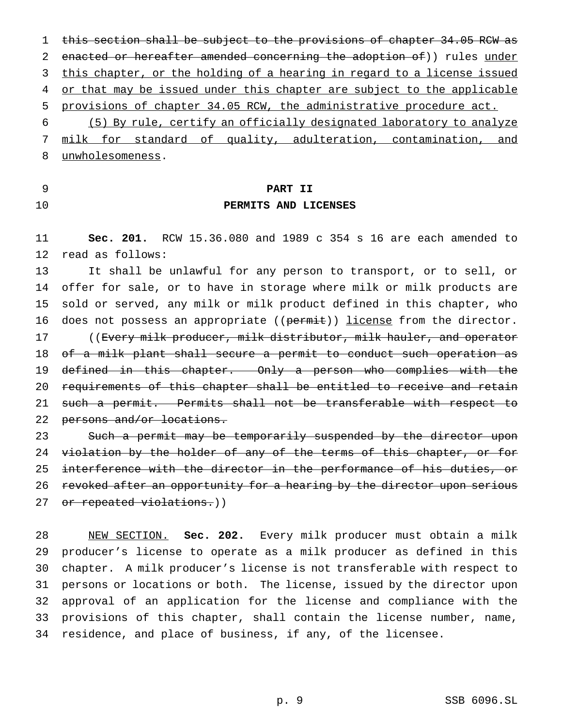this section shall be subject to the provisions of chapter 34.05 RCW as 2 enacted or hereafter amended concerning the adoption of)) rules under 3 this chapter, or the holding of a hearing in regard to a license issued 4 or that may be issued under this chapter are subject to the applicable provisions of chapter 34.05 RCW, the administrative procedure act. (5) By rule, certify an officially designated laboratory to analyze

 milk for standard of quality, adulteration, contamination, and unwholesomeness.

# **PART II**

## **PERMITS AND LICENSES**

 **Sec. 201.** RCW 15.36.080 and 1989 c 354 s 16 are each amended to read as follows:

 It shall be unlawful for any person to transport, or to sell, or offer for sale, or to have in storage where milk or milk products are sold or served, any milk or milk product defined in this chapter, who 16 does not possess an appropriate ((permit)) license from the director. 17 ((Every milk producer, milk distributor, milk hauler, and operator of a milk plant shall secure a permit to conduct such operation as defined in this chapter. Only a person who complies with the requirements of this chapter shall be entitled to receive and retain such a permit. Permits shall not be transferable with respect to 22 persons and/or locations.

23 Such a permit may be temporarily suspended by the director upon 24 violation by the holder of any of the terms of this chapter, or for interference with the director in the performance of his duties, or 26 revoked after an opportunity for a hearing by the director upon serious 27 or repeated violations.))

 NEW SECTION. **Sec. 202.** Every milk producer must obtain a milk producer's license to operate as a milk producer as defined in this chapter. A milk producer's license is not transferable with respect to persons or locations or both. The license, issued by the director upon approval of an application for the license and compliance with the provisions of this chapter, shall contain the license number, name, residence, and place of business, if any, of the licensee.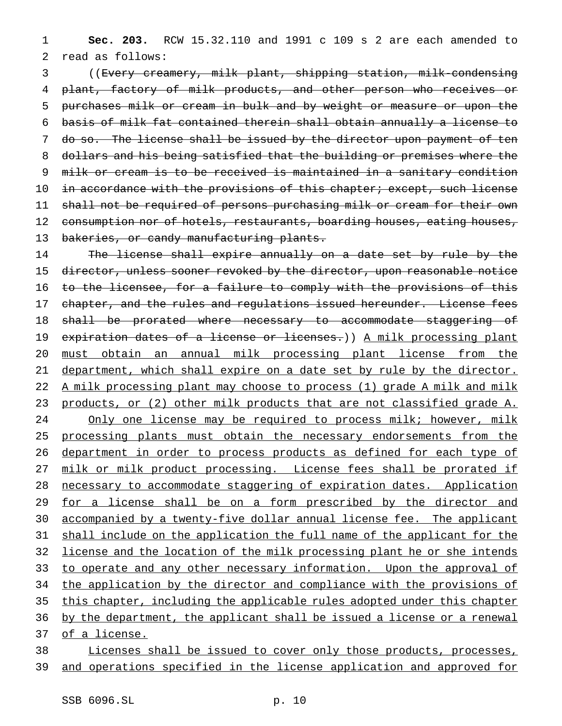1 **Sec. 203.** RCW 15.32.110 and 1991 c 109 s 2 are each amended to 2 read as follows:

 ((Every creamery, milk plant, shipping station, milk-condensing 4 plant, factory of milk products, and other person who receives or purchases milk or cream in bulk and by weight or measure or upon the basis of milk fat contained therein shall obtain annually a license to do so. The license shall be issued by the director upon payment of ten dollars and his being satisfied that the building or premises where the milk or cream is to be received is maintained in a sanitary condition 10 in accordance with the provisions of this chapter; except, such license shall not be required of persons purchasing milk or cream for their own 12 consumption nor of hotels, restaurants, boarding houses, eating houses, 13 bakeries, or candy manufacturing plants.

14 The license shall expire annually on a date set by rule by the 15 director, unless sooner revoked by the director, upon reasonable notice 16 to the licensee, for a failure to comply with the provisions of this 17 chapter, and the rules and regulations issued hereunder. License fees 18 shall be prorated where necessary to accommodate staggering of 19 expiration dates of a license or licenses.)) A milk processing plant 20 must obtain an annual milk processing plant license from the 21 department, which shall expire on a date set by rule by the director. 22 A milk processing plant may choose to process (1) grade A milk and milk 23 products, or (2) other milk products that are not classified grade A. 24 Only one license may be required to process milk; however, milk 25 processing plants must obtain the necessary endorsements from the 26 department in order to process products as defined for each type of 27 milk or milk product processing. License fees shall be prorated if 28 necessary to accommodate staggering of expiration dates. Application 29 for a license shall be on a form prescribed by the director and 30 accompanied by a twenty-five dollar annual license fee. The applicant 31 shall include on the application the full name of the applicant for the 32 license and the location of the milk processing plant he or she intends 33 to operate and any other necessary information. Upon the approval of 34 the application by the director and compliance with the provisions of 35 this chapter, including the applicable rules adopted under this chapter 36 by the department, the applicant shall be issued a license or a renewal 37 of a license.

## 38 Licenses shall be issued to cover only those products, processes, 39 and operations specified in the license application and approved for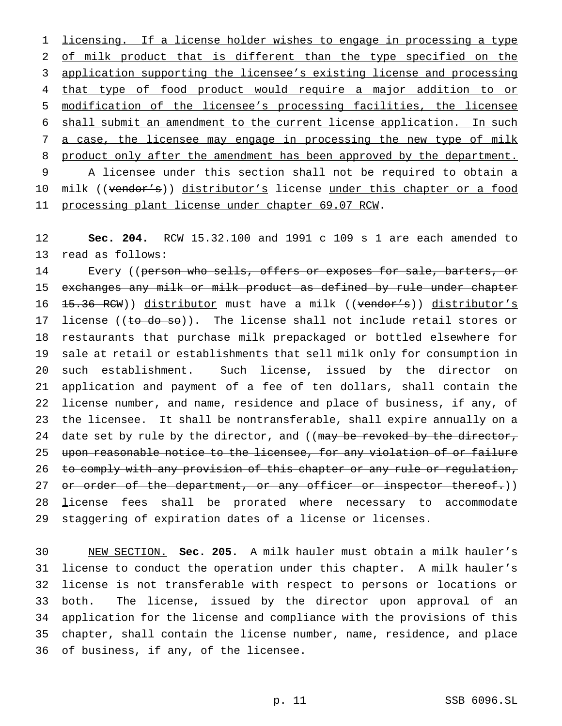1 licensing. If a license holder wishes to engage in processing a type 2 of milk product that is different than the type specified on the 3 application supporting the licensee's existing license and processing 4 that type of food product would require a major addition to or 5 modification of the licensee's processing facilities, the licensee 6 shall submit an amendment to the current license application. In such 7 a case, the licensee may engage in processing the new type of milk 8 product only after the amendment has been approved by the department. 9 A licensee under this section shall not be required to obtain a 10 milk ((vendor's)) distributor's license under this chapter or a food 11 processing plant license under chapter 69.07 RCW.

12 **Sec. 204.** RCW 15.32.100 and 1991 c 109 s 1 are each amended to 13 read as follows:

14 Every ((person who sells, offers or exposes for sale, barters, or 15 exchanges any milk or milk product as defined by rule under chapter 16 <del>15.36 RCW</del>)) distributor must have a milk ((vendor's)) distributor's 17 license (( $t\sigma$  do so)). The license shall not include retail stores or 18 restaurants that purchase milk prepackaged or bottled elsewhere for 19 sale at retail or establishments that sell milk only for consumption in 20 such establishment. Such license, issued by the director on 21 application and payment of a fee of ten dollars, shall contain the 22 license number, and name, residence and place of business, if any, of 23 the licensee. It shall be nontransferable, shall expire annually on a 24 date set by rule by the director, and ((may be revoked by the director, 25 upon reasonable notice to the licensee, for any violation of or failure 26 to comply with any provision of this chapter or any rule or regulation, 27 or order of the department, or any officer or inspector thereof.)) 28 license fees shall be prorated where necessary to accommodate 29 staggering of expiration dates of a license or licenses.

 NEW SECTION. **Sec. 205.** A milk hauler must obtain a milk hauler's license to conduct the operation under this chapter. A milk hauler's license is not transferable with respect to persons or locations or both. The license, issued by the director upon approval of an application for the license and compliance with the provisions of this chapter, shall contain the license number, name, residence, and place of business, if any, of the licensee.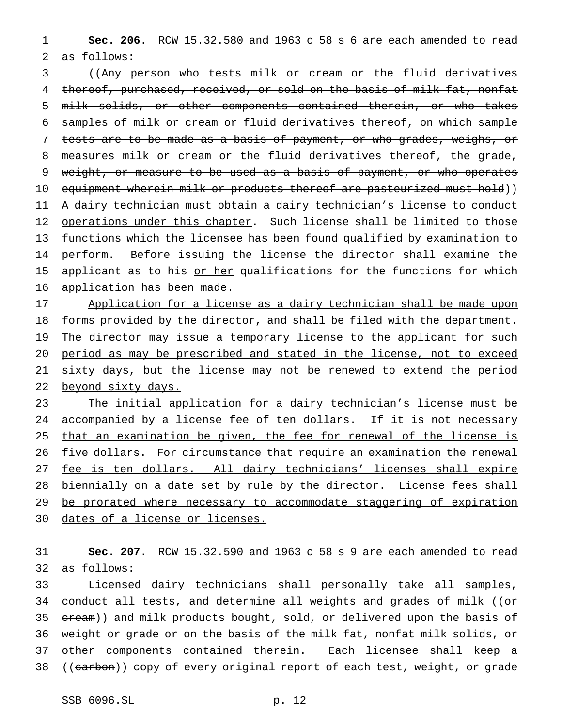1 **Sec. 206.** RCW 15.32.580 and 1963 c 58 s 6 are each amended to read 2 as follows:

3 ((Any person who tests milk or cream or the fluid derivatives 4 thereof, purchased, received, or sold on the basis of milk fat, nonfat 5 milk solids, or other components contained therein, or who takes 6 samples of milk or cream or fluid derivatives thereof, on which sample 7 tests are to be made as a basis of payment, or who grades, weighs, or 8 measures milk or cream or the fluid derivatives thereof, the grade, 9 weight, or measure to be used as a basis of payment, or who operates 10 equipment wherein milk or products thereof are pasteurized must hold)) 11 A dairy technician must obtain a dairy technician's license to conduct 12 operations under this chapter. Such license shall be limited to those 13 functions which the licensee has been found qualified by examination to 14 perform. Before issuing the license the director shall examine the 15 applicant as to his or her qualifications for the functions for which 16 application has been made.

17 Application for a license as a dairy technician shall be made upon 18 forms provided by the director, and shall be filed with the department. 19 The director may issue a temporary license to the applicant for such 20 period as may be prescribed and stated in the license, not to exceed 21 sixty days, but the license may not be renewed to extend the period 22 beyond sixty days.

23 The initial application for a dairy technician's license must be 24 accompanied by a license fee of ten dollars. If it is not necessary 25 that an examination be given, the fee for renewal of the license is 26 five dollars. For circumstance that require an examination the renewal 27 fee is ten dollars. All dairy technicians' licenses shall expire 28 biennially on a date set by rule by the director. License fees shall 29 be prorated where necessary to accommodate staggering of expiration 30 dates of a license or licenses.

31 **Sec. 207.** RCW 15.32.590 and 1963 c 58 s 9 are each amended to read 32 as follows:

33 Licensed dairy technicians shall personally take all samples, 34 conduct all tests, and determine all weights and grades of milk (( $\sigma$ 35 cream)) and milk products bought, sold, or delivered upon the basis of 36 weight or grade or on the basis of the milk fat, nonfat milk solids, or 37 other components contained therein. Each licensee shall keep a 38 ((carbon)) copy of every original report of each test, weight, or grade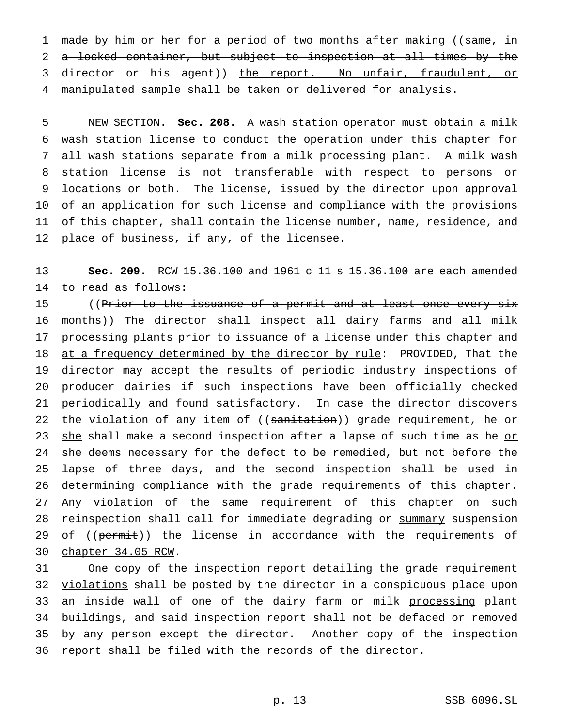1 made by him or her for a period of two months after making ((same, in 2 a locked container, but subject to inspection at all times by the 3 director or his agent)) the report. No unfair, fraudulent, or 4 manipulated sample shall be taken or delivered for analysis.

 NEW SECTION. **Sec. 208.** A wash station operator must obtain a milk wash station license to conduct the operation under this chapter for all wash stations separate from a milk processing plant. A milk wash station license is not transferable with respect to persons or locations or both. The license, issued by the director upon approval of an application for such license and compliance with the provisions of this chapter, shall contain the license number, name, residence, and place of business, if any, of the licensee.

13 **Sec. 209.** RCW 15.36.100 and 1961 c 11 s 15.36.100 are each amended 14 to read as follows:

15 ((Prior to the issuance of a permit and at least once every six 16 months)) The director shall inspect all dairy farms and all milk 17 processing plants prior to issuance of a license under this chapter and 18 at a frequency determined by the director by rule: PROVIDED, That the 19 director may accept the results of periodic industry inspections of 20 producer dairies if such inspections have been officially checked 21 periodically and found satisfactory. In case the director discovers 22 the violation of any item of ((sanitation)) grade requirement, he or 23 she shall make a second inspection after a lapse of such time as he or 24 she deems necessary for the defect to be remedied, but not before the 25 lapse of three days, and the second inspection shall be used in 26 determining compliance with the grade requirements of this chapter. 27 Any violation of the same requirement of this chapter on such 28 reinspection shall call for immediate degrading or summary suspension 29 of ((permit)) the license in accordance with the requirements of 30 chapter 34.05 RCW.

31 One copy of the inspection report detailing the grade requirement 32 violations shall be posted by the director in a conspicuous place upon 33 an inside wall of one of the dairy farm or milk processing plant 34 buildings, and said inspection report shall not be defaced or removed 35 by any person except the director. Another copy of the inspection 36 report shall be filed with the records of the director.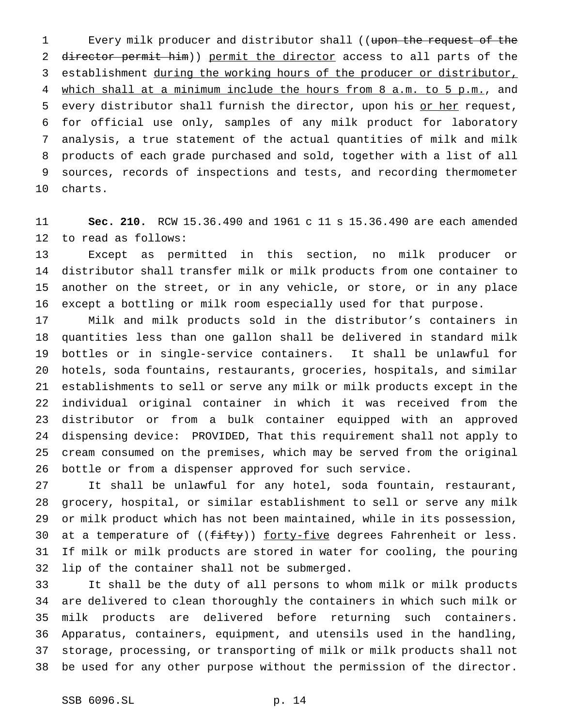1 Every milk producer and distributor shall ((upon the request of the 2 director permit him)) permit the director access to all parts of the establishment during the working hours of the producer or distributor, 4 which shall at a minimum include the hours from 8 a.m. to 5 p.m., and every distributor shall furnish the director, upon his or her request, for official use only, samples of any milk product for laboratory analysis, a true statement of the actual quantities of milk and milk products of each grade purchased and sold, together with a list of all sources, records of inspections and tests, and recording thermometer charts.

 **Sec. 210.** RCW 15.36.490 and 1961 c 11 s 15.36.490 are each amended to read as follows:

 Except as permitted in this section, no milk producer or distributor shall transfer milk or milk products from one container to another on the street, or in any vehicle, or store, or in any place except a bottling or milk room especially used for that purpose.

 Milk and milk products sold in the distributor's containers in quantities less than one gallon shall be delivered in standard milk bottles or in single-service containers. It shall be unlawful for hotels, soda fountains, restaurants, groceries, hospitals, and similar establishments to sell or serve any milk or milk products except in the individual original container in which it was received from the distributor or from a bulk container equipped with an approved dispensing device: PROVIDED, That this requirement shall not apply to cream consumed on the premises, which may be served from the original bottle or from a dispenser approved for such service.

 It shall be unlawful for any hotel, soda fountain, restaurant, grocery, hospital, or similar establishment to sell or serve any milk or milk product which has not been maintained, while in its possession, 30 at a temperature of ((fifty)) forty-five degrees Fahrenheit or less. If milk or milk products are stored in water for cooling, the pouring lip of the container shall not be submerged.

 It shall be the duty of all persons to whom milk or milk products are delivered to clean thoroughly the containers in which such milk or milk products are delivered before returning such containers. Apparatus, containers, equipment, and utensils used in the handling, storage, processing, or transporting of milk or milk products shall not be used for any other purpose without the permission of the director.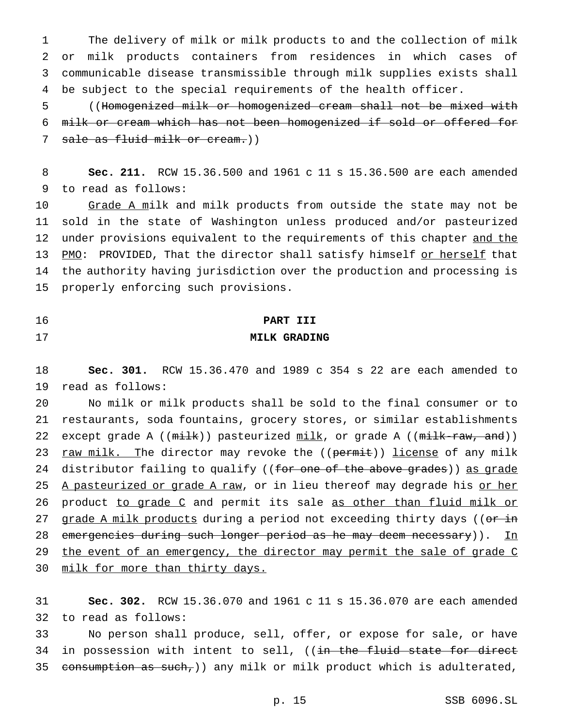The delivery of milk or milk products to and the collection of milk or milk products containers from residences in which cases of communicable disease transmissible through milk supplies exists shall be subject to the special requirements of the health officer.

5 ((Homogenized milk or homogenized cream shall not be mixed with 6 milk or cream which has not been homogenized if sold or offered for 7 sale as fluid milk or cream.))

8 **Sec. 211.** RCW 15.36.500 and 1961 c 11 s 15.36.500 are each amended 9 to read as follows:

10 Grade A milk and milk products from outside the state may not be 11 sold in the state of Washington unless produced and/or pasteurized 12 under provisions equivalent to the requirements of this chapter and the 13 PMO: PROVIDED, That the director shall satisfy himself or herself that 14 the authority having jurisdiction over the production and processing is 15 properly enforcing such provisions.

## 16 **PART III** 17 **MILK GRADING**

18 **Sec. 301.** RCW 15.36.470 and 1989 c 354 s 22 are each amended to 19 read as follows:

20 No milk or milk products shall be sold to the final consumer or to 21 restaurants, soda fountains, grocery stores, or similar establishments 22 except grade A ((milk)) pasteurized milk, or grade A ((milk-raw, and)) 23 raw milk. The director may revoke the ((permit)) license of any milk 24 distributor failing to qualify ((for one of the above grades)) as grade 25 A pasteurized or grade A raw, or in lieu thereof may degrade his or her 26 product to grade C and permit its sale as other than fluid milk or 27 grade A milk products during a period not exceeding thirty days ((or in 28 emergencies during such longer period as he may deem necessary)). In 29 the event of an emergency, the director may permit the sale of grade C 30 milk for more than thirty days.

31 **Sec. 302.** RCW 15.36.070 and 1961 c 11 s 15.36.070 are each amended 32 to read as follows:

33 No person shall produce, sell, offer, or expose for sale, or have 34 in possession with intent to sell, ((in the fluid state for direct 35 consumption as such,)) any milk or milk product which is adulterated,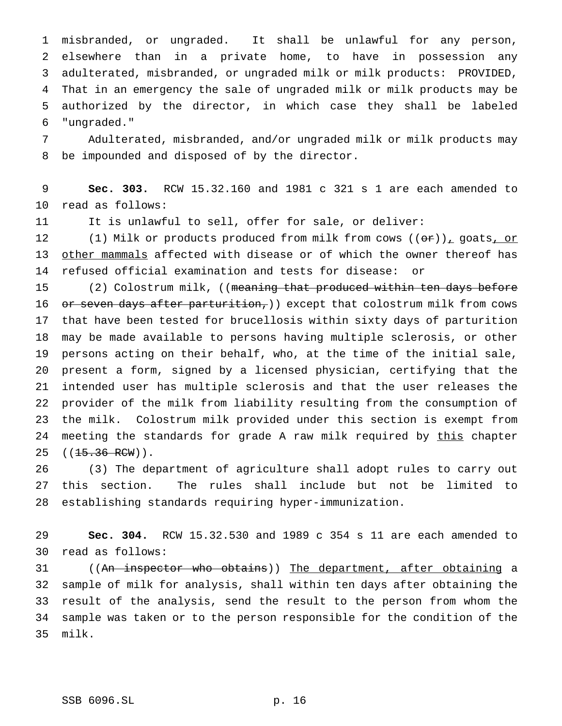misbranded, or ungraded. It shall be unlawful for any person, elsewhere than in a private home, to have in possession any adulterated, misbranded, or ungraded milk or milk products: PROVIDED, That in an emergency the sale of ungraded milk or milk products may be authorized by the director, in which case they shall be labeled "ungraded."

 Adulterated, misbranded, and/or ungraded milk or milk products may be impounded and disposed of by the director.

 **Sec. 303.** RCW 15.32.160 and 1981 c 321 s 1 are each amended to read as follows:

It is unlawful to sell, offer for sale, or deliver:

12 (1) Milk or products produced from milk from cows  $((\theta \hat{r}))_T$  goats, or other mammals affected with disease or of which the owner thereof has refused official examination and tests for disease: or

15 (2) Colostrum milk, ((meaning that produced within ten days before 16 or seven days after parturition, ) except that colostrum milk from cows that have been tested for brucellosis within sixty days of parturition may be made available to persons having multiple sclerosis, or other persons acting on their behalf, who, at the time of the initial sale, present a form, signed by a licensed physician, certifying that the intended user has multiple sclerosis and that the user releases the provider of the milk from liability resulting from the consumption of the milk. Colostrum milk provided under this section is exempt from 24 meeting the standards for grade A raw milk required by this chapter 25 ((<del>15.36 RCW</del>)).

 (3) The department of agriculture shall adopt rules to carry out this section. The rules shall include but not be limited to establishing standards requiring hyper-immunization.

 **Sec. 304.** RCW 15.32.530 and 1989 c 354 s 11 are each amended to read as follows:

 ((An inspector who obtains)) The department, after obtaining a sample of milk for analysis, shall within ten days after obtaining the result of the analysis, send the result to the person from whom the sample was taken or to the person responsible for the condition of the milk.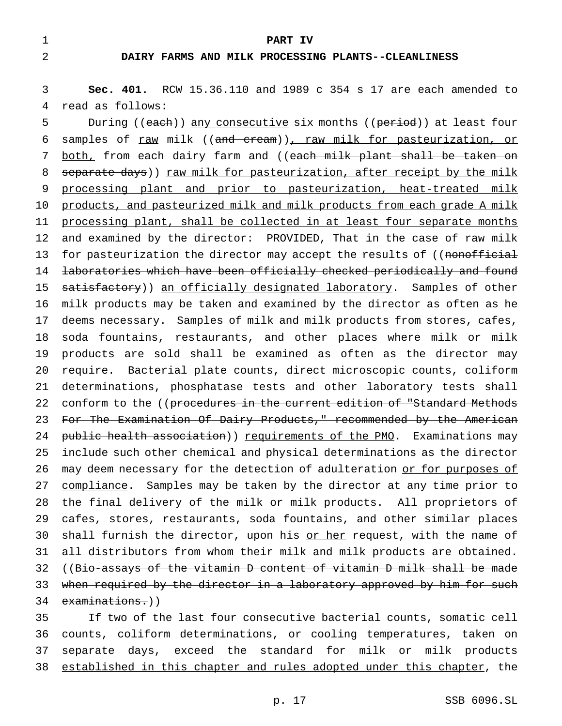1 **PART IV**

## 2 **DAIRY FARMS AND MILK PROCESSING PLANTS--CLEANLINESS**

3 **Sec. 401.** RCW 15.36.110 and 1989 c 354 s 17 are each amended to 4 read as follows:

5 During ((each)) any consecutive six months ((period)) at least four 6 samples of raw milk ((and cream)), raw milk for pasteurization, or 7 both, from each dairy farm and ((each milk plant shall be taken on 8 separate days)) raw milk for pasteurization, after receipt by the milk 9 processing plant and prior to pasteurization, heat-treated milk 10 products, and pasteurized milk and milk products from each grade A milk 11 processing plant, shall be collected in at least four separate months 12 and examined by the director: PROVIDED, That in the case of raw milk 13 for pasteurization the director may accept the results of ((nonofficial 14 laboratories which have been officially checked periodically and found 15 satisfactory)) an officially designated laboratory. Samples of other 16 milk products may be taken and examined by the director as often as he 17 deems necessary. Samples of milk and milk products from stores, cafes, 18 soda fountains, restaurants, and other places where milk or milk 19 products are sold shall be examined as often as the director may 20 require. Bacterial plate counts, direct microscopic counts, coliform 21 determinations, phosphatase tests and other laboratory tests shall 22 conform to the ((procedures in the current edition of "Standard Methods 23 For The Examination Of Dairy Products," recommended by the American 24 public health association)) requirements of the PMO. Examinations may 25 include such other chemical and physical determinations as the director 26 may deem necessary for the detection of adulteration or for purposes of 27 compliance. Samples may be taken by the director at any time prior to 28 the final delivery of the milk or milk products. All proprietors of 29 cafes, stores, restaurants, soda fountains, and other similar places 30 shall furnish the director, upon his or her request, with the name of 31 all distributors from whom their milk and milk products are obtained. 32 ((Bio-assays of the vitamin D content of vitamin D milk shall be made 33 when required by the director in a laboratory approved by him for such 34 examinations.))

 If two of the last four consecutive bacterial counts, somatic cell counts, coliform determinations, or cooling temperatures, taken on separate days, exceed the standard for milk or milk products established in this chapter and rules adopted under this chapter, the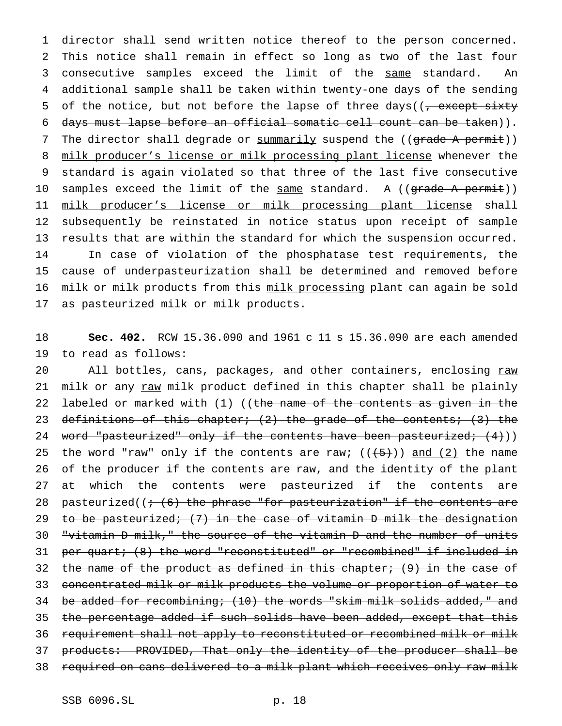1 director shall send written notice thereof to the person concerned. 2 This notice shall remain in effect so long as two of the last four 3 consecutive samples exceed the limit of the same standard. An 4 additional sample shall be taken within twenty-one days of the sending 5 of the notice, but not before the lapse of three days( $(7 - 5 + 5)$ 6 days must lapse before an official somatic cell count can be taken)). 7 The director shall degrade or summarily suspend the ((grade A permit)) 8 milk producer's license or milk processing plant license whenever the 9 standard is again violated so that three of the last five consecutive 10 samples exceed the limit of the same standard. A ((grade A permit)) 11 milk producer's license or milk processing plant license shall 12 subsequently be reinstated in notice status upon receipt of sample 13 results that are within the standard for which the suspension occurred. 14 In case of violation of the phosphatase test requirements, the 15 cause of underpasteurization shall be determined and removed before 16 milk or milk products from this milk processing plant can again be sold 17 as pasteurized milk or milk products.

18 **Sec. 402.** RCW 15.36.090 and 1961 c 11 s 15.36.090 are each amended 19 to read as follows:

20 All bottles, cans, packages, and other containers, enclosing  $raw$ </u> 21 milk or any raw milk product defined in this chapter shall be plainly 22 labeled or marked with  $(1)$  ((the name of the contents as given in the 23 definitions of this chapter;  $(2)$  the grade of the contents;  $(3)$  the 24 word "pasteurized" only if the contents have been pasteurized; (4))) 25 the word "raw" only if the contents are raw;  $((+5+))$  and  $(2)$  the name 26 of the producer if the contents are raw, and the identity of the plant 27 at which the contents were pasteurized if the contents are 28 pasteurized( $(+$   $(6)$  the phrase "for pasteurization" if the contents are 29 to be pasteurized; (7) in the case of vitamin D milk the designation 30 "vitamin D milk," the source of the vitamin D and the number of units 31 per quart; (8) the word "reconstituted" or "recombined" if included in 32 the name of the product as defined in this chapter; (9) in the case of 33 concentrated milk or milk products the volume or proportion of water to 34 be added for recombining; (10) the words "skim milk solids added," and 35 the percentage added if such solids have been added, except that this 36 requirement shall not apply to reconstituted or recombined milk or milk 37 products: PROVIDED, That only the identity of the producer shall be 38 required on cans delivered to a milk plant which receives only raw milk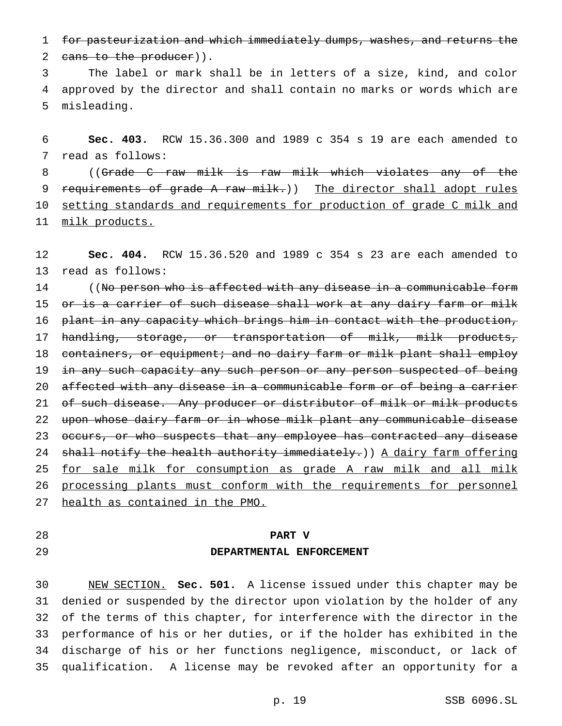for pasteurization and which immediately dumps, washes, and returns the

2 cans to the producer)).

 The label or mark shall be in letters of a size, kind, and color approved by the director and shall contain no marks or words which are misleading.

 **Sec. 403.** RCW 15.36.300 and 1989 c 354 s 19 are each amended to read as follows:

 ((Grade C raw milk is raw milk which violates any of the 9 requirements of grade A raw milk.)) The director shall adopt rules 10 setting standards and requirements for production of grade C milk and milk products.

 **Sec. 404.** RCW 15.36.520 and 1989 c 354 s 23 are each amended to read as follows:

14 ((No person who is affected with any disease in a communicable form 15 or is a carrier of such disease shall work at any dairy farm or milk 16 plant in any capacity which brings him in contact with the production, handling, storage, or transportation of milk, milk products, 18 containers, or equipment; and no dairy farm or milk plant shall employ 19 in any such capacity any such person or any person suspected of being affected with any disease in a communicable form or of being a carrier 21 of such disease. Any producer or distributor of milk or milk products upon whose dairy farm or in whose milk plant any communicable disease 23 occurs, or who suspects that any employee has contracted any disease 24 shall notify the health authority immediately.)) A dairy farm offering for sale milk for consumption as grade A raw milk and all milk processing plants must conform with the requirements for personnel health as contained in the PMO.

## **PART V**

## **DEPARTMENTAL ENFORCEMENT**

 NEW SECTION. **Sec. 501.** A license issued under this chapter may be denied or suspended by the director upon violation by the holder of any of the terms of this chapter, for interference with the director in the performance of his or her duties, or if the holder has exhibited in the discharge of his or her functions negligence, misconduct, or lack of qualification. A license may be revoked after an opportunity for a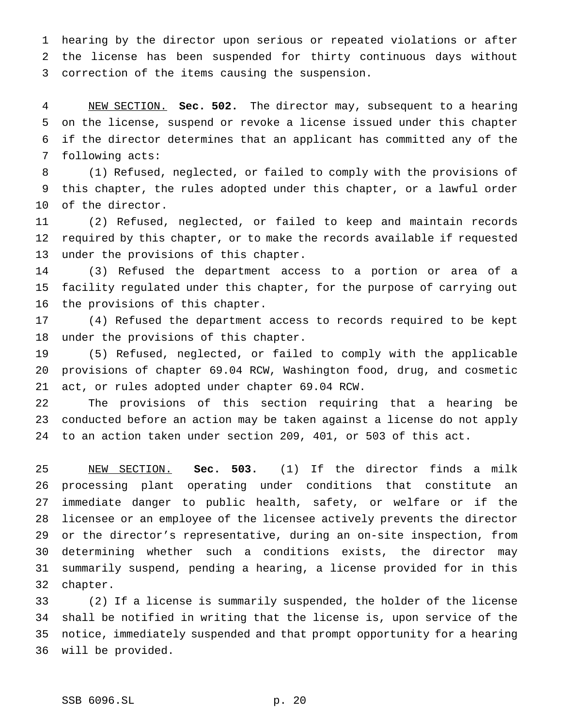hearing by the director upon serious or repeated violations or after the license has been suspended for thirty continuous days without correction of the items causing the suspension.

 NEW SECTION. **Sec. 502.** The director may, subsequent to a hearing on the license, suspend or revoke a license issued under this chapter if the director determines that an applicant has committed any of the following acts:

 (1) Refused, neglected, or failed to comply with the provisions of this chapter, the rules adopted under this chapter, or a lawful order of the director.

 (2) Refused, neglected, or failed to keep and maintain records required by this chapter, or to make the records available if requested under the provisions of this chapter.

 (3) Refused the department access to a portion or area of a facility regulated under this chapter, for the purpose of carrying out the provisions of this chapter.

 (4) Refused the department access to records required to be kept under the provisions of this chapter.

 (5) Refused, neglected, or failed to comply with the applicable provisions of chapter 69.04 RCW, Washington food, drug, and cosmetic act, or rules adopted under chapter 69.04 RCW.

 The provisions of this section requiring that a hearing be conducted before an action may be taken against a license do not apply to an action taken under section 209, 401, or 503 of this act.

 NEW SECTION. **Sec. 503.** (1) If the director finds a milk processing plant operating under conditions that constitute an immediate danger to public health, safety, or welfare or if the licensee or an employee of the licensee actively prevents the director or the director's representative, during an on-site inspection, from determining whether such a conditions exists, the director may summarily suspend, pending a hearing, a license provided for in this chapter.

 (2) If a license is summarily suspended, the holder of the license shall be notified in writing that the license is, upon service of the notice, immediately suspended and that prompt opportunity for a hearing will be provided.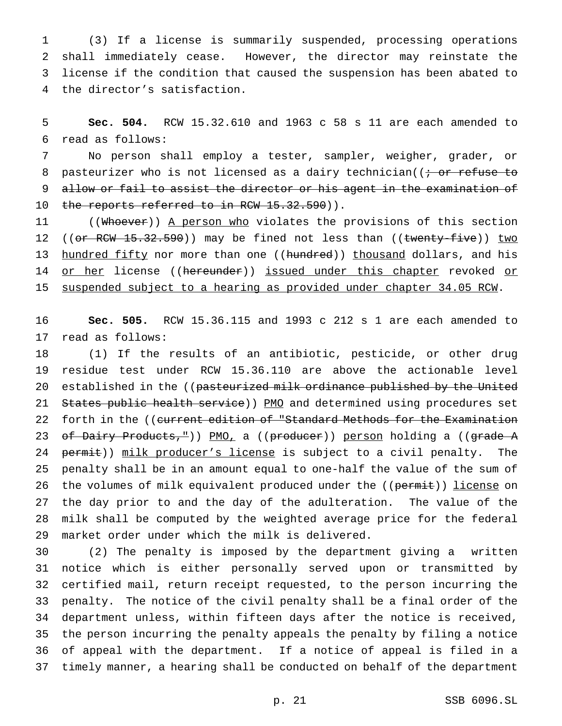(3) If a license is summarily suspended, processing operations shall immediately cease. However, the director may reinstate the license if the condition that caused the suspension has been abated to the director's satisfaction.

 **Sec. 504.** RCW 15.32.610 and 1963 c 58 s 11 are each amended to read as follows:

 No person shall employ a tester, sampler, weigher, grader, or 8 pasteurizer who is not licensed as a dairy technician( $\left(i + \text{or} \text{ refuse to}\right)$  allow or fail to assist the director or his agent in the examination of 10 the reports referred to in RCW 15.32.590)).

11 ((Whoever)) A person who violates the provisions of this section 12 ((or RCW 15.32.590)) may be fined not less than ((twenty-five)) two 13 hundred fifty nor more than one ((hundred)) thousand dollars, and his 14 or her license ((hereunder)) issued under this chapter revoked or suspended subject to a hearing as provided under chapter 34.05 RCW.

 **Sec. 505.** RCW 15.36.115 and 1993 c 212 s 1 are each amended to read as follows:

 (1) If the results of an antibiotic, pesticide, or other drug residue test under RCW 15.36.110 are above the actionable level 20 established in the ((pasteurized milk ordinance published by the United 21 States public health service) PMO and determined using procedures set 22 forth in the ((current edition of "Standard Methods for the Examination 23 of Dairy Products,")) PMO, a ((producer)) person holding a ((grade A 24 permit)) milk producer's license is subject to a civil penalty. The penalty shall be in an amount equal to one-half the value of the sum of 26 the volumes of milk equivalent produced under the ((permit)) license on the day prior to and the day of the adulteration. The value of the milk shall be computed by the weighted average price for the federal market order under which the milk is delivered.

 (2) The penalty is imposed by the department giving a written notice which is either personally served upon or transmitted by certified mail, return receipt requested, to the person incurring the penalty. The notice of the civil penalty shall be a final order of the department unless, within fifteen days after the notice is received, the person incurring the penalty appeals the penalty by filing a notice of appeal with the department. If a notice of appeal is filed in a timely manner, a hearing shall be conducted on behalf of the department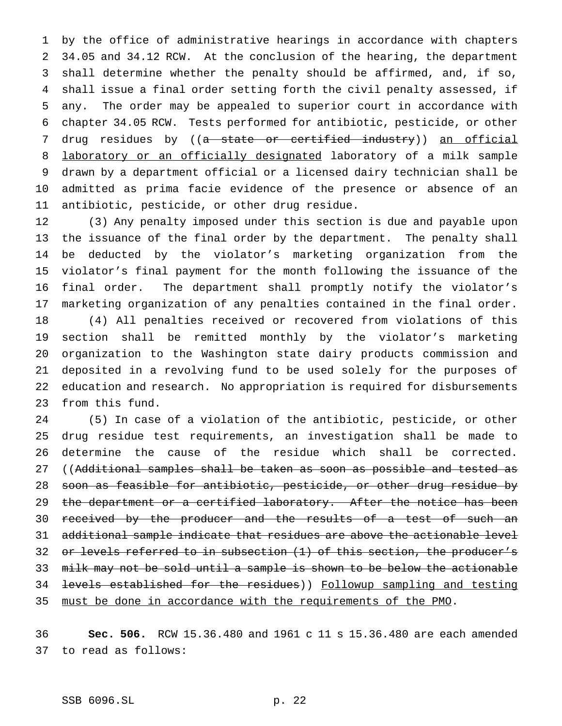by the office of administrative hearings in accordance with chapters 34.05 and 34.12 RCW. At the conclusion of the hearing, the department shall determine whether the penalty should be affirmed, and, if so, shall issue a final order setting forth the civil penalty assessed, if any. The order may be appealed to superior court in accordance with chapter 34.05 RCW. Tests performed for antibiotic, pesticide, or other 7 drug residues by ((a state or certified industry)) an official 8 laboratory or an officially designated laboratory of a milk sample drawn by a department official or a licensed dairy technician shall be admitted as prima facie evidence of the presence or absence of an antibiotic, pesticide, or other drug residue.

 (3) Any penalty imposed under this section is due and payable upon the issuance of the final order by the department. The penalty shall be deducted by the violator's marketing organization from the violator's final payment for the month following the issuance of the final order. The department shall promptly notify the violator's marketing organization of any penalties contained in the final order. (4) All penalties received or recovered from violations of this section shall be remitted monthly by the violator's marketing organization to the Washington state dairy products commission and deposited in a revolving fund to be used solely for the purposes of education and research. No appropriation is required for disbursements from this fund.

 (5) In case of a violation of the antibiotic, pesticide, or other drug residue test requirements, an investigation shall be made to determine the cause of the residue which shall be corrected. 27 ((Additional samples shall be taken as soon as possible and tested as soon as feasible for antibiotic, pesticide, or other drug residue by 29 the department or a certified laboratory. After the notice has been 30 received by the producer and the results of a test of such an additional sample indicate that residues are above the actionable level 32 or levels referred to in subsection (1) of this section, the producer's milk may not be sold until a sample is shown to be below the actionable levels established for the residues)) Followup sampling and testing must be done in accordance with the requirements of the PMO.

 **Sec. 506.** RCW 15.36.480 and 1961 c 11 s 15.36.480 are each amended to read as follows: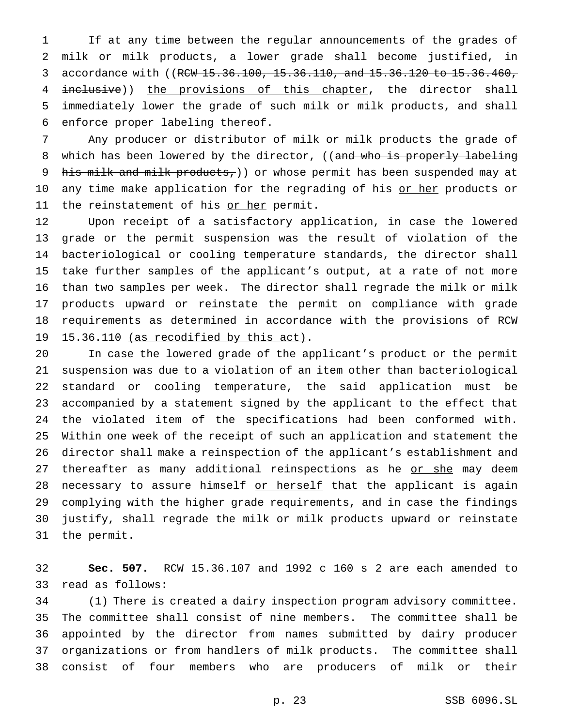If at any time between the regular announcements of the grades of milk or milk products, a lower grade shall become justified, in 3 accordance with ((RCW 15.36.100, 15.36.110, and 15.36.120 to 15.36.460, 4 inclusive)) the provisions of this chapter, the director shall immediately lower the grade of such milk or milk products, and shall enforce proper labeling thereof.

 Any producer or distributor of milk or milk products the grade of 8 which has been lowered by the director, ((and who is properly labeling 9 his milk and milk products,) or whose permit has been suspended may at 10 any time make application for the regrading of his or her products or 11 the reinstatement of his or her permit.

 Upon receipt of a satisfactory application, in case the lowered grade or the permit suspension was the result of violation of the bacteriological or cooling temperature standards, the director shall take further samples of the applicant's output, at a rate of not more than two samples per week. The director shall regrade the milk or milk products upward or reinstate the permit on compliance with grade requirements as determined in accordance with the provisions of RCW 19 15.36.110 (as recodified by this act).

 In case the lowered grade of the applicant's product or the permit suspension was due to a violation of an item other than bacteriological standard or cooling temperature, the said application must be accompanied by a statement signed by the applicant to the effect that the violated item of the specifications had been conformed with. Within one week of the receipt of such an application and statement the director shall make a reinspection of the applicant's establishment and 27 thereafter as many additional reinspections as he or she may deem 28 necessary to assure himself or herself that the applicant is again complying with the higher grade requirements, and in case the findings justify, shall regrade the milk or milk products upward or reinstate the permit.

 **Sec. 507.** RCW 15.36.107 and 1992 c 160 s 2 are each amended to read as follows:

 (1) There is created a dairy inspection program advisory committee. The committee shall consist of nine members. The committee shall be appointed by the director from names submitted by dairy producer organizations or from handlers of milk products. The committee shall consist of four members who are producers of milk or their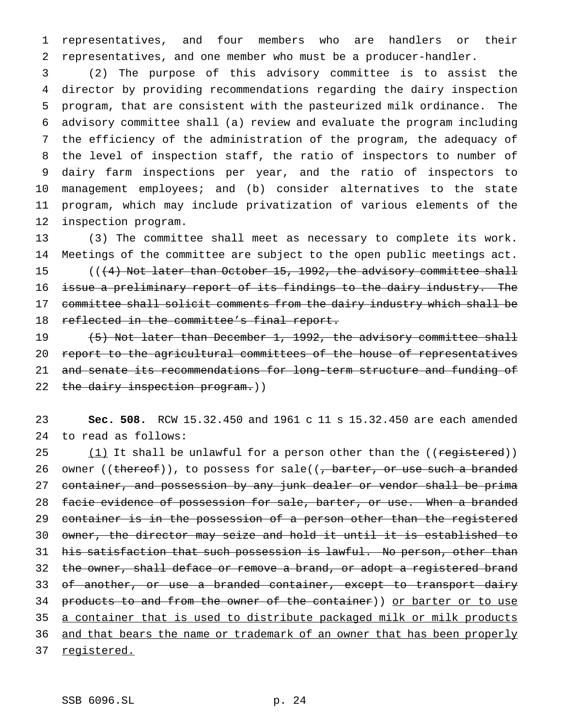1 representatives, and four members who are handlers or their 2 representatives, and one member who must be a producer-handler.

 (2) The purpose of this advisory committee is to assist the director by providing recommendations regarding the dairy inspection program, that are consistent with the pasteurized milk ordinance. The advisory committee shall (a) review and evaluate the program including the efficiency of the administration of the program, the adequacy of the level of inspection staff, the ratio of inspectors to number of dairy farm inspections per year, and the ratio of inspectors to management employees; and (b) consider alternatives to the state program, which may include privatization of various elements of the inspection program.

 (3) The committee shall meet as necessary to complete its work. Meetings of the committee are subject to the open public meetings act. 15 (((4) Not later than October 15, 1992, the advisory committee shall issue a preliminary report of its findings to the dairy industry. The committee shall solicit comments from the dairy industry which shall be 18 reflected in the committee's final report.

19 (5) Not later than December 1, 1992, the advisory committee shall 20 report to the agricultural committees of the house of representatives 21 and senate its recommendations for long-term structure and funding of 22 the dairy inspection program.))

23 **Sec. 508.** RCW 15.32.450 and 1961 c 11 s 15.32.450 are each amended 24 to read as follows:

25 (1) It shall be unlawful for a person other than the ((registered)) 26 owner ((thereof)), to possess for sale((<del>, barter, or use such a branded</del> 27 container, and possession by any junk dealer or vendor shall be prima 28 facie evidence of possession for sale, barter, or use. When a branded 29 container is in the possession of a person other than the registered 30 owner, the director may seize and hold it until it is established to 31 his satisfaction that such possession is lawful. No person, other than 32 the owner, shall deface or remove a brand, or adopt a registered brand 33 of another, or use a branded container, except to transport dairy 34 products to and from the owner of the container)) or barter or to use 35 a container that is used to distribute packaged milk or milk products 36 and that bears the name or trademark of an owner that has been properly 37 registered.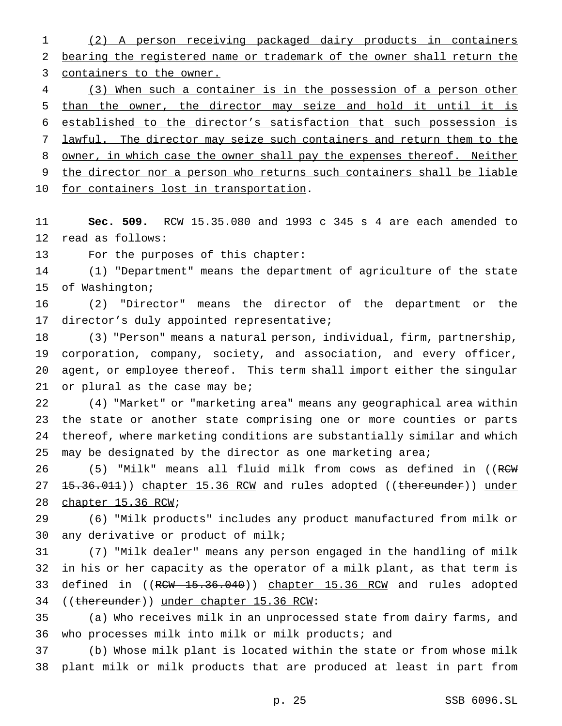(2) A person receiving packaged dairy products in containers bearing the registered name or trademark of the owner shall return the containers to the owner.

 (3) When such a container is in the possession of a person other than the owner, the director may seize and hold it until it is established to the director's satisfaction that such possession is lawful. The director may seize such containers and return them to the 8 owner, in which case the owner shall pay the expenses thereof. Neither the director nor a person who returns such containers shall be liable 10 for containers lost in transportation.

 **Sec. 509.** RCW 15.35.080 and 1993 c 345 s 4 are each amended to read as follows:

For the purposes of this chapter:

 (1) "Department" means the department of agriculture of the state of Washington;

 (2) "Director" means the director of the department or the director's duly appointed representative;

 (3) "Person" means a natural person, individual, firm, partnership, corporation, company, society, and association, and every officer, agent, or employee thereof. This term shall import either the singular or plural as the case may be;

 (4) "Market" or "marketing area" means any geographical area within the state or another state comprising one or more counties or parts thereof, where marketing conditions are substantially similar and which 25 may be designated by the director as one marketing area;

26 (5) "Milk" means all fluid milk from cows as defined in ((RCW) 27 15.36.011)) chapter 15.36 RCW and rules adopted ((thereunder)) under chapter 15.36 RCW;

 (6) "Milk products" includes any product manufactured from milk or any derivative or product of milk;

 (7) "Milk dealer" means any person engaged in the handling of milk in his or her capacity as the operator of a milk plant, as that term is 33 defined in ((RCW 15.36.040)) chapter 15.36 RCM and rules adopted ((thereunder)) under chapter 15.36 RCW:

 (a) Who receives milk in an unprocessed state from dairy farms, and who processes milk into milk or milk products; and

 (b) Whose milk plant is located within the state or from whose milk plant milk or milk products that are produced at least in part from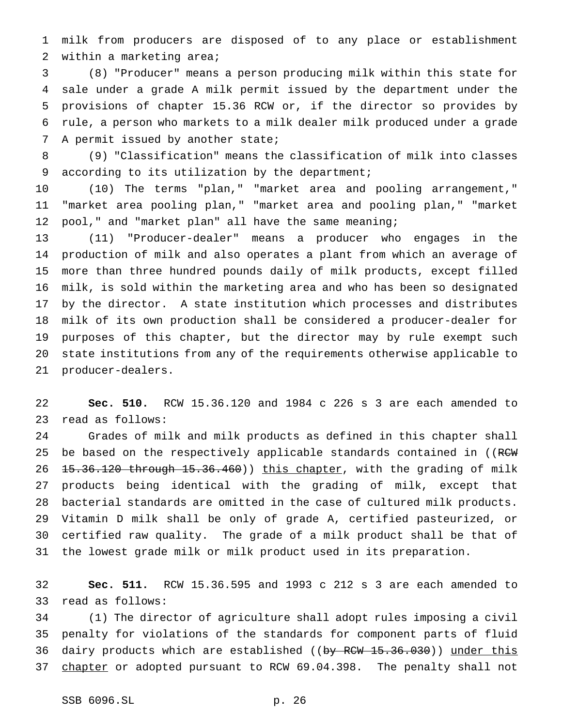milk from producers are disposed of to any place or establishment within a marketing area;

 (8) "Producer" means a person producing milk within this state for sale under a grade A milk permit issued by the department under the provisions of chapter 15.36 RCW or, if the director so provides by rule, a person who markets to a milk dealer milk produced under a grade 7 A permit issued by another state;

 (9) "Classification" means the classification of milk into classes according to its utilization by the department;

 (10) The terms "plan," "market area and pooling arrangement," "market area pooling plan," "market area and pooling plan," "market pool," and "market plan" all have the same meaning;

 (11) "Producer-dealer" means a producer who engages in the production of milk and also operates a plant from which an average of more than three hundred pounds daily of milk products, except filled milk, is sold within the marketing area and who has been so designated by the director. A state institution which processes and distributes milk of its own production shall be considered a producer-dealer for purposes of this chapter, but the director may by rule exempt such state institutions from any of the requirements otherwise applicable to producer-dealers.

 **Sec. 510.** RCW 15.36.120 and 1984 c 226 s 3 are each amended to read as follows:

 Grades of milk and milk products as defined in this chapter shall 25 be based on the respectively applicable standards contained in ((RCW 26 <del>15.36.120 through 15.36.460</del>)) this chapter, with the grading of milk products being identical with the grading of milk, except that bacterial standards are omitted in the case of cultured milk products. Vitamin D milk shall be only of grade A, certified pasteurized, or certified raw quality. The grade of a milk product shall be that of the lowest grade milk or milk product used in its preparation.

 **Sec. 511.** RCW 15.36.595 and 1993 c 212 s 3 are each amended to read as follows:

 (1) The director of agriculture shall adopt rules imposing a civil penalty for violations of the standards for component parts of fluid 36 dairy products which are established ((by RCW 15.36.030)) under this 37 chapter or adopted pursuant to RCW 69.04.398. The penalty shall not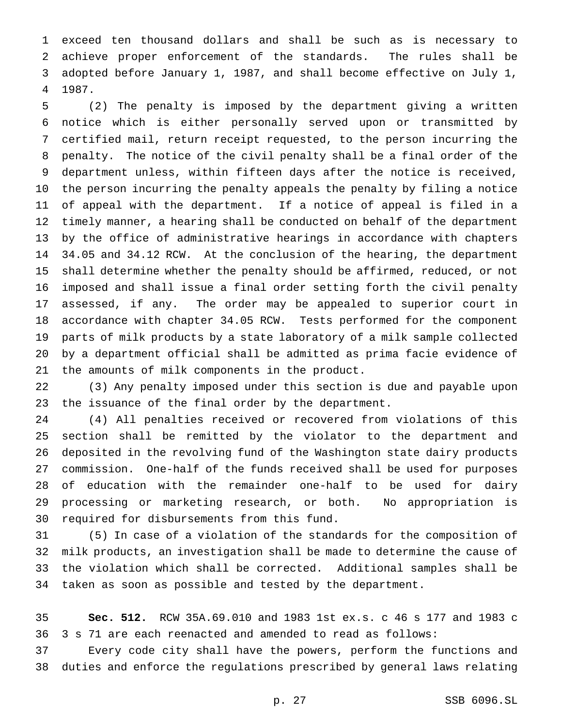exceed ten thousand dollars and shall be such as is necessary to achieve proper enforcement of the standards. The rules shall be adopted before January 1, 1987, and shall become effective on July 1, 1987.

 (2) The penalty is imposed by the department giving a written notice which is either personally served upon or transmitted by certified mail, return receipt requested, to the person incurring the penalty. The notice of the civil penalty shall be a final order of the department unless, within fifteen days after the notice is received, the person incurring the penalty appeals the penalty by filing a notice of appeal with the department. If a notice of appeal is filed in a timely manner, a hearing shall be conducted on behalf of the department by the office of administrative hearings in accordance with chapters 34.05 and 34.12 RCW. At the conclusion of the hearing, the department shall determine whether the penalty should be affirmed, reduced, or not imposed and shall issue a final order setting forth the civil penalty assessed, if any. The order may be appealed to superior court in accordance with chapter 34.05 RCW. Tests performed for the component parts of milk products by a state laboratory of a milk sample collected by a department official shall be admitted as prima facie evidence of the amounts of milk components in the product.

 (3) Any penalty imposed under this section is due and payable upon the issuance of the final order by the department.

 (4) All penalties received or recovered from violations of this section shall be remitted by the violator to the department and deposited in the revolving fund of the Washington state dairy products commission. One-half of the funds received shall be used for purposes of education with the remainder one-half to be used for dairy processing or marketing research, or both. No appropriation is required for disbursements from this fund.

 (5) In case of a violation of the standards for the composition of milk products, an investigation shall be made to determine the cause of the violation which shall be corrected. Additional samples shall be taken as soon as possible and tested by the department.

 **Sec. 512.** RCW 35A.69.010 and 1983 1st ex.s. c 46 s 177 and 1983 c 3 s 71 are each reenacted and amended to read as follows:

 Every code city shall have the powers, perform the functions and duties and enforce the regulations prescribed by general laws relating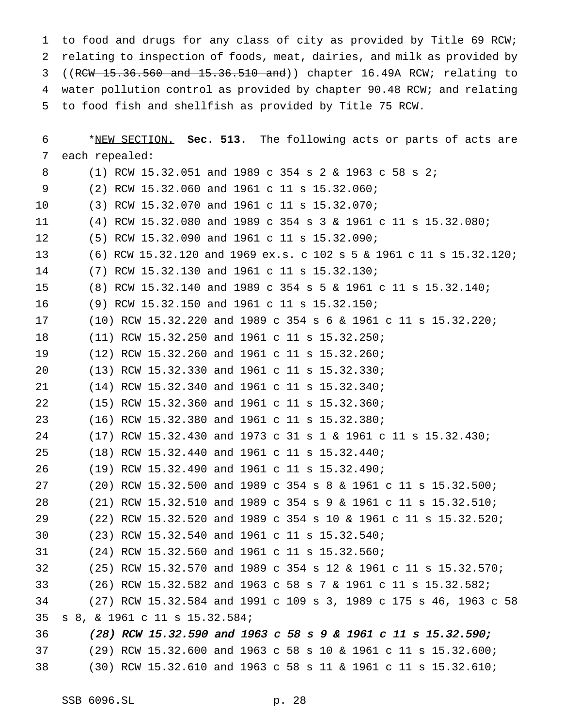to food and drugs for any class of city as provided by Title 69 RCW; relating to inspection of foods, meat, dairies, and milk as provided by ((RCW 15.36.560 and 15.36.510 and)) chapter 16.49A RCW; relating to water pollution control as provided by chapter 90.48 RCW; and relating to food fish and shellfish as provided by Title 75 RCW.

| 6  | *NEW SECTION. Sec. 513. The following acts or parts of acts are     |  |
|----|---------------------------------------------------------------------|--|
| 7  | each repealed:                                                      |  |
| 8  | (1) RCW 15.32.051 and 1989 c 354 s 2 & 1963 c 58 s 2;               |  |
| 9  | (2) RCW 15.32.060 and 1961 c 11 s 15.32.060;                        |  |
| 10 | (3) RCW 15.32.070 and 1961 c 11 s 15.32.070;                        |  |
| 11 | (4) RCW 15.32.080 and 1989 c 354 s 3 & 1961 c 11 s 15.32.080;       |  |
| 12 | (5) RCW 15.32.090 and 1961 c 11 s 15.32.090;                        |  |
| 13 | (6) RCW 15.32.120 and 1969 ex.s. c 102 s 5 & 1961 c 11 s 15.32.120; |  |
| 14 | $(7)$ RCW 15.32.130 and 1961 c 11 s 15.32.130;                      |  |
| 15 | (8) RCW 15.32.140 and 1989 c 354 s 5 & 1961 c 11 s 15.32.140;       |  |
| 16 | (9) RCW 15.32.150 and 1961 c 11 s 15.32.150;                        |  |
| 17 | $(10)$ RCW 15.32.220 and 1989 c 354 s 6 & 1961 c 11 s 15.32.220;    |  |
| 18 | $(11)$ RCW 15.32.250 and 1961 c 11 s 15.32.250;                     |  |
| 19 | (12) RCW 15.32.260 and 1961 c 11 s 15.32.260;                       |  |
| 20 | (13) RCW 15.32.330 and 1961 c 11 s 15.32.330;                       |  |
| 21 | (14) RCW 15.32.340 and 1961 c 11 s 15.32.340;                       |  |
| 22 | (15) RCW 15.32.360 and 1961 c 11 s 15.32.360;                       |  |
| 23 | $(16)$ RCW 15.32.380 and 1961 c 11 s 15.32.380;                     |  |
| 24 | $(17)$ RCW 15.32.430 and 1973 c 31 s 1 & 1961 c 11 s 15.32.430;     |  |
| 25 | (18) RCW 15.32.440 and 1961 c 11 s 15.32.440;                       |  |
| 26 | (19) RCW 15.32.490 and 1961 c 11 s 15.32.490;                       |  |
| 27 | $(20)$ RCW 15.32.500 and 1989 c 354 s 8 & 1961 c 11 s 15.32.500;    |  |
| 28 | (21) RCW 15.32.510 and 1989 c 354 s 9 & 1961 c 11 s 15.32.510;      |  |
| 29 | (22) RCW 15.32.520 and 1989 c 354 s 10 & 1961 c 11 s 15.32.520;     |  |
| 30 | (23) RCW 15.32.540 and 1961 c 11 s 15.32.540;                       |  |
| 31 | (24) RCW 15.32.560 and 1961 c 11 s 15.32.560;                       |  |
| 32 | (25) RCW 15.32.570 and 1989 c 354 s 12 & 1961 c 11 s 15.32.570;     |  |
| 33 | (26) RCW 15.32.582 and 1963 c 58 s 7 & 1961 c 11 s 15.32.582;       |  |
| 34 | (27) RCW 15.32.584 and 1991 c 109 s 3, 1989 c 175 s 46, 1963 c 58   |  |
| 35 | s 8, & 1961 c 11 s 15.32.584;                                       |  |
| 36 | (28) RCW 15.32.590 and 1963 c 58 s 9 & 1961 c 11 s 15.32.590;       |  |
| 37 | (29) RCW 15.32.600 and 1963 c 58 s 10 & 1961 c 11 s 15.32.600;      |  |
| 38 | $(30)$ RCW 15.32.610 and 1963 c 58 s 11 & 1961 c 11 s 15.32.610;    |  |
|    |                                                                     |  |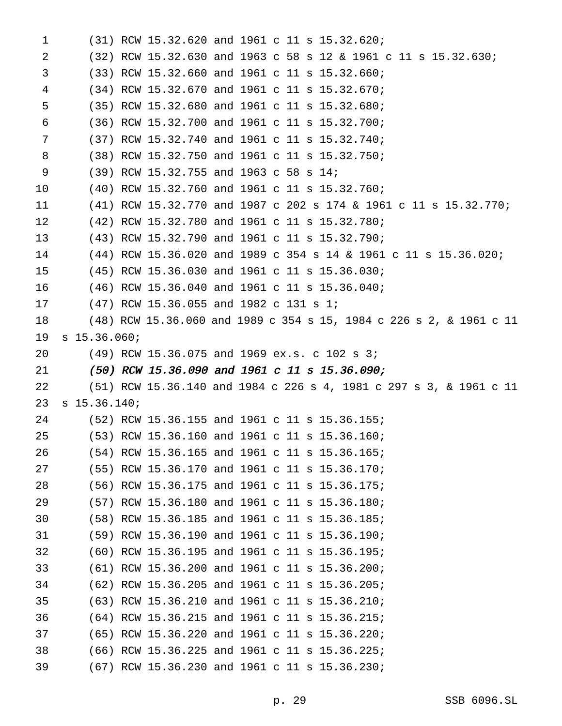| 1  |                | (31) RCW 15.32.620 and 1961 c 11 s 15.32.620;                       |  |  |  |  |  |
|----|----------------|---------------------------------------------------------------------|--|--|--|--|--|
| 2  |                | $(32)$ RCW 15.32.630 and 1963 c 58 s 12 & 1961 c 11 s 15.32.630;    |  |  |  |  |  |
| 3  |                | $(33)$ RCW 15.32.660 and 1961 c 11 s 15.32.660;                     |  |  |  |  |  |
| 4  |                | (34) RCW 15.32.670 and 1961 c 11 s 15.32.670;                       |  |  |  |  |  |
| 5  |                | $(35)$ RCW 15.32.680 and 1961 c 11 s 15.32.680;                     |  |  |  |  |  |
| 6  |                | (36) RCW 15.32.700 and 1961 c 11 s 15.32.700;                       |  |  |  |  |  |
| 7  |                | (37) RCW 15.32.740 and 1961 c 11 s 15.32.740;                       |  |  |  |  |  |
| 8  |                | (38) RCW 15.32.750 and 1961 c 11 s 15.32.750;                       |  |  |  |  |  |
| 9  |                | $(39)$ RCW 15.32.755 and 1963 c 58 s 14;                            |  |  |  |  |  |
| 10 |                | $(40)$ RCW 15.32.760 and 1961 c 11 s 15.32.760;                     |  |  |  |  |  |
| 11 |                | (41) RCW 15.32.770 and 1987 c 202 s 174 & 1961 c 11 s 15.32.770;    |  |  |  |  |  |
| 12 |                | (42) RCW 15.32.780 and 1961 c 11 s 15.32.780;                       |  |  |  |  |  |
| 13 |                | (43) RCW 15.32.790 and 1961 c 11 s 15.32.790;                       |  |  |  |  |  |
| 14 |                | (44) RCW 15.36.020 and 1989 c 354 s 14 & 1961 c 11 s 15.36.020;     |  |  |  |  |  |
| 15 |                | (45) RCW 15.36.030 and 1961 c 11 s 15.36.030;                       |  |  |  |  |  |
| 16 |                | $(46)$ RCW 15.36.040 and 1961 c 11 s 15.36.040;                     |  |  |  |  |  |
| 17 |                | $(47)$ RCW 15.36.055 and 1982 c 131 s 1;                            |  |  |  |  |  |
| 18 |                | (48) RCW 15.36.060 and 1989 c 354 s 15, 1984 c 226 s 2, & 1961 c 11 |  |  |  |  |  |
| 19 | $s$ 15.36.060; |                                                                     |  |  |  |  |  |
| 20 |                | $(49)$ RCW 15.36.075 and 1969 ex.s. c 102 s 3;                      |  |  |  |  |  |
| 21 |                | $(50)$ RCW 15.36.090 and 1961 c 11 s 15.36.090;                     |  |  |  |  |  |
| 22 |                | (51) RCW 15.36.140 and 1984 c 226 s 4, 1981 c 297 s 3, & 1961 c 11  |  |  |  |  |  |
| 23 | $s$ 15.36.140; |                                                                     |  |  |  |  |  |
| 24 |                | $(52)$ RCW 15.36.155 and 1961 c 11 s 15.36.155;                     |  |  |  |  |  |
| 25 |                | (53) RCW 15.36.160 and 1961 c 11 s 15.36.160;                       |  |  |  |  |  |
| 26 |                | (54) RCW 15.36.165 and 1961 c 11 s 15.36.165;                       |  |  |  |  |  |
| 27 |                | (55) RCW 15.36.170 and 1961 c 11 s 15.36.170;                       |  |  |  |  |  |
| 28 |                | (56) RCW 15.36.175 and 1961 c 11 s 15.36.175;                       |  |  |  |  |  |
| 29 |                | (57) RCW 15.36.180 and 1961 c 11 s 15.36.180;                       |  |  |  |  |  |
| 30 |                | (58) RCW 15.36.185 and 1961 c 11 s 15.36.185;                       |  |  |  |  |  |
| 31 |                | (59) RCW 15.36.190 and 1961 c 11 s 15.36.190;                       |  |  |  |  |  |
| 32 |                | (60) RCW 15.36.195 and 1961 c 11 s 15.36.195;                       |  |  |  |  |  |
| 33 |                | (61) RCW 15.36.200 and 1961 c 11 s 15.36.200;                       |  |  |  |  |  |
| 34 |                | (62) RCW 15.36.205 and 1961 c 11 s 15.36.205;                       |  |  |  |  |  |
| 35 |                | (63) RCW 15.36.210 and 1961 c 11 s 15.36.210;                       |  |  |  |  |  |
| 36 |                | (64) RCW 15.36.215 and 1961 c 11 s 15.36.215;                       |  |  |  |  |  |
| 37 |                | (65) RCW 15.36.220 and 1961 c 11 s 15.36.220;                       |  |  |  |  |  |
| 38 |                | (66) RCW 15.36.225 and 1961 c 11 s 15.36.225;                       |  |  |  |  |  |
| 39 |                | (67) RCW 15.36.230 and 1961 c 11 s 15.36.230;                       |  |  |  |  |  |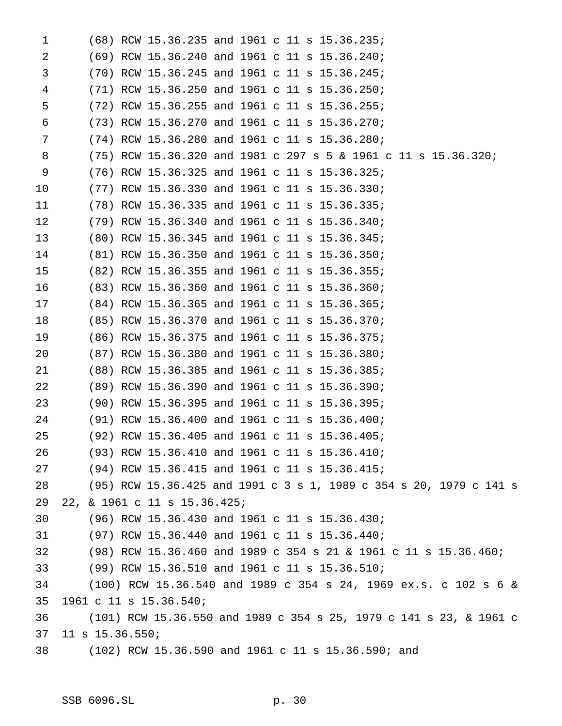| 1  |                              |  | $(68)$ RCW 15.36.235 and 1961 c 11 s 15.36.235;                    |
|----|------------------------------|--|--------------------------------------------------------------------|
| 2  |                              |  | (69) RCW 15.36.240 and 1961 c 11 s 15.36.240;                      |
| 3  |                              |  | $(70)$ RCW 15.36.245 and 1961 c 11 s 15.36.245;                    |
| 4  |                              |  | (71) RCW 15.36.250 and 1961 c 11 s 15.36.250;                      |
| 5  |                              |  | $(72)$ RCW 15.36.255 and 1961 c 11 s 15.36.255;                    |
| 6  |                              |  | (73) RCW 15.36.270 and 1961 c 11 s 15.36.270;                      |
| 7  |                              |  | $(74)$ RCW 15.36.280 and 1961 c 11 s 15.36.280;                    |
| 8  |                              |  | $(75)$ RCW 15.36.320 and 1981 c 297 s 5 & 1961 c 11 s 15.36.320;   |
| 9  |                              |  | (76) RCW 15.36.325 and 1961 c 11 s 15.36.325;                      |
| 10 |                              |  | (77) RCW 15.36.330 and 1961 c 11 s 15.36.330;                      |
| 11 |                              |  | (78) RCW 15.36.335 and 1961 c 11 s 15.36.335;                      |
| 12 |                              |  | (79) RCW 15.36.340 and 1961 c 11 s 15.36.340;                      |
| 13 |                              |  | (80) RCW 15.36.345 and 1961 c 11 s 15.36.345;                      |
| 14 |                              |  | (81) RCW 15.36.350 and 1961 c 11 s 15.36.350;                      |
| 15 |                              |  | (82) RCW 15.36.355 and 1961 c 11 s 15.36.355;                      |
| 16 |                              |  | (83) RCW 15.36.360 and 1961 c 11 s 15.36.360;                      |
| 17 |                              |  | (84) RCW 15.36.365 and 1961 c 11 s 15.36.365;                      |
| 18 |                              |  | (85) RCW 15.36.370 and 1961 c 11 s 15.36.370;                      |
| 19 |                              |  | (86) RCW 15.36.375 and 1961 c 11 s 15.36.375;                      |
| 20 |                              |  | (87) RCW 15.36.380 and 1961 c 11 s 15.36.380;                      |
| 21 |                              |  | (88) RCW 15.36.385 and 1961 c 11 s 15.36.385;                      |
| 22 |                              |  | (89) RCW 15.36.390 and 1961 c 11 s 15.36.390;                      |
| 23 |                              |  | (90) RCW 15.36.395 and 1961 c 11 s 15.36.395;                      |
| 24 |                              |  | (91) RCW 15.36.400 and 1961 c 11 s 15.36.400;                      |
| 25 |                              |  | (92) RCW 15.36.405 and 1961 c 11 s 15.36.405;                      |
| 26 |                              |  | (93) RCW 15.36.410 and 1961 c 11 s 15.36.410;                      |
| 27 |                              |  | (94) RCW 15.36.415 and 1961 c 11 s 15.36.415;                      |
| 28 |                              |  | (95) RCW 15.36.425 and 1991 c 3 s 1, 1989 c 354 s 20, 1979 c 141 s |
| 29 | 22, & 1961 c 11 s 15.36.425; |  |                                                                    |
| 30 |                              |  | (96) RCW 15.36.430 and 1961 c 11 s 15.36.430;                      |
| 31 |                              |  | (97) RCW 15.36.440 and 1961 c 11 s 15.36.440;                      |
| 32 |                              |  | (98) RCW 15.36.460 and 1989 c 354 s 21 & 1961 c 11 s 15.36.460;    |
| 33 |                              |  | (99) RCW 15.36.510 and 1961 c 11 s 15.36.510;                      |
| 34 |                              |  | (100) RCW 15.36.540 and 1989 c 354 s 24, 1969 ex.s. c 102 s 6 &    |
| 35 | 1961 c 11 s 15.36.540;       |  |                                                                    |
| 36 |                              |  | (101) RCW 15.36.550 and 1989 c 354 s 25, 1979 c 141 s 23, & 1961 c |
| 37 | 11 s 15.36.550;              |  |                                                                    |
| 38 |                              |  | (102) RCW 15.36.590 and 1961 c 11 s 15.36.590; and                 |
|    |                              |  |                                                                    |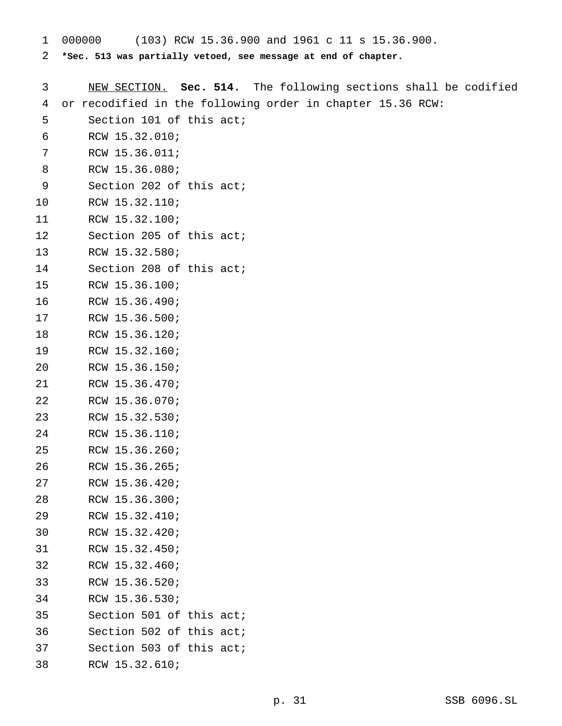- 000000 (103) RCW 15.36.900 and 1961 c 11 s 15.36.900.
- **\*Sec. 513 was partially vetoed, see message at end of chapter.**

| 3  | NEW SECTION. Sec. 514. The following sections shall be codified |
|----|-----------------------------------------------------------------|
| 4  | or recodified in the following order in chapter 15.36 RCW:      |
| 5  | Section 101 of this act;                                        |
| 6  | RCW 15.32.010;                                                  |
| 7  | RCW 15.36.011;                                                  |
| 8  | RCW 15.36.080;                                                  |
| 9  | Section 202 of this act;                                        |
| 10 | RCW 15.32.110;                                                  |
| 11 | RCW 15.32.100;                                                  |
| 12 | Section 205 of this act;                                        |
| 13 | RCW 15.32.580;                                                  |
| 14 | Section 208 of this act;                                        |
| 15 | RCW 15.36.100;                                                  |
| 16 | RCW 15.36.490;                                                  |
| 17 | RCW 15.36.500;                                                  |
| 18 | RCW 15.36.120;                                                  |
| 19 | RCW 15.32.160;                                                  |
| 20 | RCW 15.36.150;                                                  |
| 21 | RCW 15.36.470;                                                  |
| 22 | RCW 15.36.070;                                                  |
| 23 | RCW 15.32.530;                                                  |
| 24 | RCW 15.36.110;                                                  |
| 25 | RCW 15.36.260;                                                  |
| 26 | RCW 15.36.265;                                                  |
| 27 | RCW 15.36.420;                                                  |
| 28 | RCW 15.36.300;                                                  |
| 29 | RCW 15.32.410;                                                  |
| 30 | RCW 15.32.420;                                                  |
| 31 | RCW 15.32.450;                                                  |
| 32 | RCW 15.32.460;                                                  |
| 33 | RCW 15.36.520;                                                  |
| 34 | RCW 15.36.530;                                                  |
| 35 | Section 501 of this act;                                        |
| 36 | Section 502 of this act;                                        |
| 37 | Section 503 of this act;                                        |
| 38 | RCW 15.32.610;                                                  |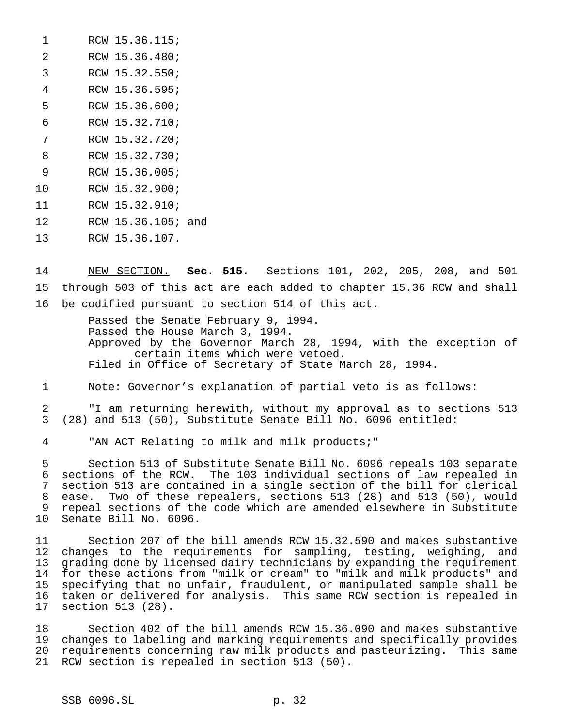| 1             | RCW 15.36.115;     |  |
|---------------|--------------------|--|
| $\mathcal{L}$ | RCW 15.36.480;     |  |
| 3             | RCW 15.32.550;     |  |
| 4             | RCW 15.36.595;     |  |
| 5             | RCW 15.36.600;     |  |
| 6             | RCW 15.32.710;     |  |
| 7             | RCW 15.32.720;     |  |
| 8             | RCW 15.32.730;     |  |
| 9             | RCW 15.36.005;     |  |
| 10            | RCW 15.32.900;     |  |
| 11            | RCW 15.32.910;     |  |
| 12            | RCW 15.36.105; and |  |
| 13            | RCW 15.36.107.     |  |

 NEW SECTION. **Sec. 515.** Sections 101, 202, 205, 208, and 501 through 503 of this act are each added to chapter 15.36 RCW and shall be codified pursuant to section 514 of this act.

> Passed the Senate February 9, 1994. Passed the House March 3, 1994. Approved by the Governor March 28, 1994, with the exception of certain items which were vetoed. Filed in Office of Secretary of State March 28, 1994.

Note: Governor's explanation of partial veto is as follows:

 "I am returning herewith, without my approval as to sections 513 (28) and 513 (50), Substitute Senate Bill No. 6096 entitled:

"AN ACT Relating to milk and milk products;"

 Section 513 of Substitute Senate Bill No. 6096 repeals 103 separate sections of the RCW. The 103 individual sections of law repealed in section 513 are contained in a single section of the bill for clerical ease. Two of these repealers, sections 513 (28) and 513 (50), would repeal sections of the code which are amended elsewhere in Substitute Senate Bill No. 6096.

 Section 207 of the bill amends RCW 15.32.590 and makes substantive changes to the requirements for sampling, testing, weighing, and grading done by licensed dairy technicians by expanding the requirement for these actions from "milk or cream" to "milk and milk products" and specifying that no unfair, fraudulent, or manipulated sample shall be taken or delivered for analysis. This same RCW section is repealed in section 513 (28).

 Section 402 of the bill amends RCW 15.36.090 and makes substantive changes to labeling and marking requirements and specifically provides requirements concerning raw milk products and pasteurizing. This same RCW section is repealed in section 513 (50).